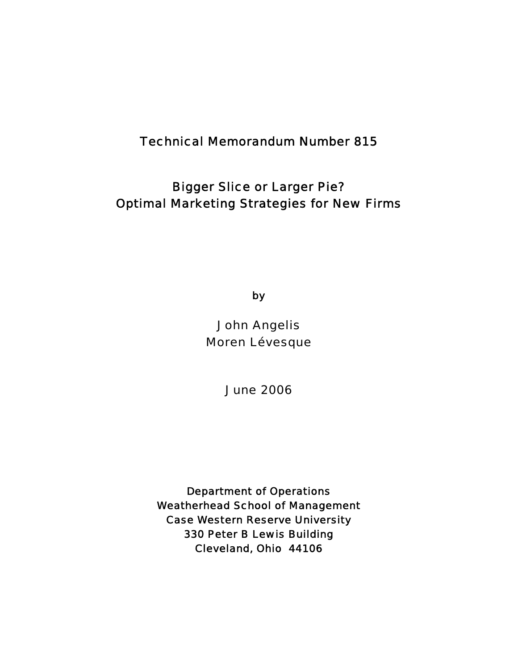# Technical Memorandum Number 815

# Bigger Slice or Larger Pie? Optimal Marketing Strategies for New Firms

by

John Angelis Moren Lévesque

June 2006

Department of Operations Weatherhead School of Management Case Western Reserve University 330 Peter B Lewis Building Cleveland, Ohio 44106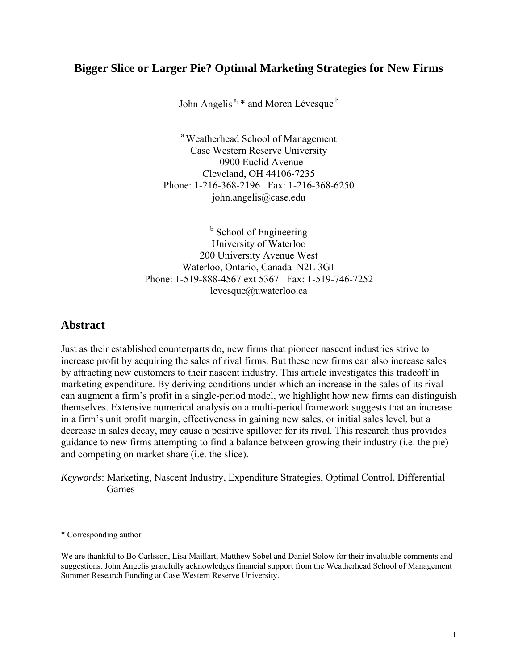## **Bigger Slice or Larger Pie? Optimal Marketing Strategies for New Firms**

John Angelis<sup>a, \*</sup> and Moren Lévesque<sup>b</sup>

a Weatherhead School of Management Case Western Reserve University 10900 Euclid Avenue Cleveland, OH 44106-7235 Phone: 1-216-368-2196 Fax: 1-216-368-6250 john.angelis@case.edu

<sup>b</sup> School of Engineering University of Waterloo 200 University Avenue West Waterloo, Ontario, Canada N2L 3G1 Phone: 1-519-888-4567 ext 5367 Fax: 1-519-746-7252 levesque@uwaterloo.ca

## **Abstract**

Just as their established counterparts do, new firms that pioneer nascent industries strive to increase profit by acquiring the sales of rival firms. But these new firms can also increase sales by attracting new customers to their nascent industry. This article investigates this tradeoff in marketing expenditure. By deriving conditions under which an increase in the sales of its rival can augment a firm's profit in a single-period model, we highlight how new firms can distinguish themselves. Extensive numerical analysis on a multi-period framework suggests that an increase in a firm's unit profit margin, effectiveness in gaining new sales, or initial sales level, but a decrease in sales decay, may cause a positive spillover for its rival. This research thus provides guidance to new firms attempting to find a balance between growing their industry (i.e. the pie) and competing on market share (i.e. the slice).

\* Corresponding author

We are thankful to Bo Carlsson, Lisa Maillart, Matthew Sobel and Daniel Solow for their invaluable comments and suggestions. John Angelis gratefully acknowledges financial support from the Weatherhead School of Management Summer Research Funding at Case Western Reserve University.

*Keywords*: Marketing, Nascent Industry, Expenditure Strategies, Optimal Control, Differential Games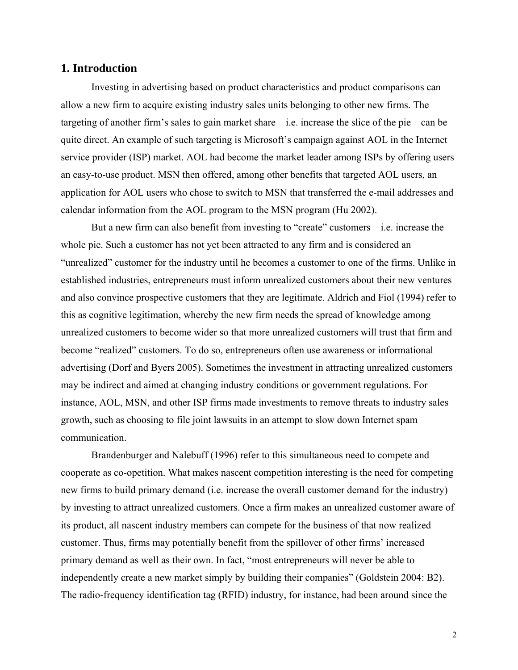### **1. Introduction**

Investing in advertising based on product characteristics and product comparisons can allow a new firm to acquire existing industry sales units belonging to other new firms. The targeting of another firm's sales to gain market share  $-i.e.$  increase the slice of the pie – can be quite direct. An example of such targeting is Microsoft's campaign against AOL in the Internet service provider (ISP) market. AOL had become the market leader among ISPs by offering users an easy-to-use product. MSN then offered, among other benefits that targeted AOL users, an application for AOL users who chose to switch to MSN that transferred the e-mail addresses and calendar information from the AOL program to the MSN program (Hu 2002).

But a new firm can also benefit from investing to "create" customers  $-$  i.e. increase the whole pie. Such a customer has not yet been attracted to any firm and is considered an "unrealized" customer for the industry until he becomes a customer to one of the firms. Unlike in established industries, entrepreneurs must inform unrealized customers about their new ventures and also convince prospective customers that they are legitimate. Aldrich and Fiol (1994) refer to this as cognitive legitimation, whereby the new firm needs the spread of knowledge among unrealized customers to become wider so that more unrealized customers will trust that firm and become "realized" customers. To do so, entrepreneurs often use awareness or informational advertising (Dorf and Byers 2005). Sometimes the investment in attracting unrealized customers may be indirect and aimed at changing industry conditions or government regulations. For instance, AOL, MSN, and other ISP firms made investments to remove threats to industry sales growth, such as choosing to file joint lawsuits in an attempt to slow down Internet spam communication.

Brandenburger and Nalebuff (1996) refer to this simultaneous need to compete and cooperate as co-opetition. What makes nascent competition interesting is the need for competing new firms to build primary demand (i.e. increase the overall customer demand for the industry) by investing to attract unrealized customers. Once a firm makes an unrealized customer aware of its product, all nascent industry members can compete for the business of that now realized customer. Thus, firms may potentially benefit from the spillover of other firms' increased primary demand as well as their own. In fact, "most entrepreneurs will never be able to independently create a new market simply by building their companies" (Goldstein 2004: B2). The radio-frequency identification tag (RFID) industry, for instance, had been around since the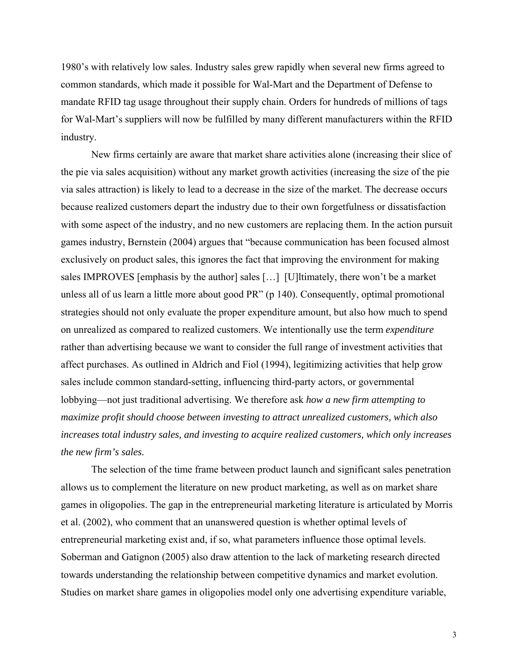1980's with relatively low sales. Industry sales grew rapidly when several new firms agreed to common standards, which made it possible for Wal-Mart and the Department of Defense to mandate RFID tag usage throughout their supply chain. Orders for hundreds of millions of tags for Wal-Mart's suppliers will now be fulfilled by many different manufacturers within the RFID industry.

New firms certainly are aware that market share activities alone (increasing their slice of the pie via sales acquisition) without any market growth activities (increasing the size of the pie via sales attraction) is likely to lead to a decrease in the size of the market. The decrease occurs because realized customers depart the industry due to their own forgetfulness or dissatisfaction with some aspect of the industry, and no new customers are replacing them. In the action pursuit games industry, Bernstein (2004) argues that "because communication has been focused almost exclusively on product sales, this ignores the fact that improving the environment for making sales IMPROVES [emphasis by the author] sales […] [U]ltimately, there won't be a market unless all of us learn a little more about good PR" (p 140). Consequently, optimal promotional strategies should not only evaluate the proper expenditure amount, but also how much to spend on unrealized as compared to realized customers. We intentionally use the term *expenditure* rather than advertising because we want to consider the full range of investment activities that affect purchases. As outlined in Aldrich and Fiol (1994), legitimizing activities that help grow sales include common standard-setting, influencing third-party actors, or governmental lobbying—not just traditional advertising. We therefore ask *how a new firm attempting to maximize profit should choose between investing to attract unrealized customers, which also increases total industry sales, and investing to acquire realized customers, which only increases the new firm's sales.*

The selection of the time frame between product launch and significant sales penetration allows us to complement the literature on new product marketing, as well as on market share games in oligopolies. The gap in the entrepreneurial marketing literature is articulated by Morris et al. (2002), who comment that an unanswered question is whether optimal levels of entrepreneurial marketing exist and, if so, what parameters influence those optimal levels. Soberman and Gatignon (2005) also draw attention to the lack of marketing research directed towards understanding the relationship between competitive dynamics and market evolution. Studies on market share games in oligopolies model only one advertising expenditure variable,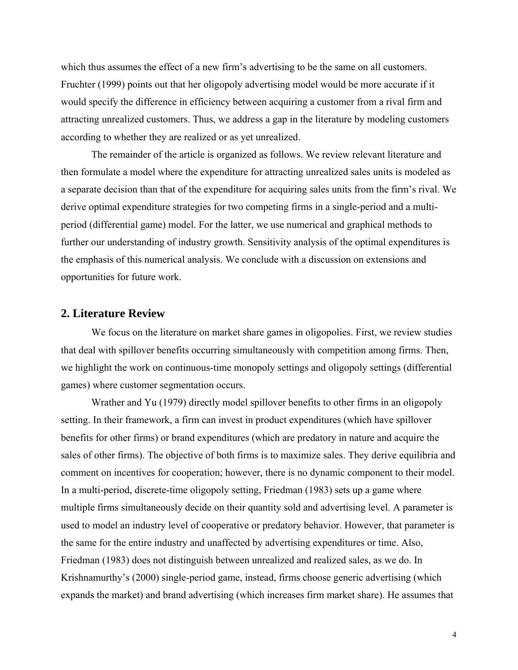which thus assumes the effect of a new firm's advertising to be the same on all customers. Fruchter (1999) points out that her oligopoly advertising model would be more accurate if it would specify the difference in efficiency between acquiring a customer from a rival firm and attracting unrealized customers. Thus, we address a gap in the literature by modeling customers according to whether they are realized or as yet unrealized.

The remainder of the article is organized as follows. We review relevant literature and then formulate a model where the expenditure for attracting unrealized sales units is modeled as a separate decision than that of the expenditure for acquiring sales units from the firm's rival. We derive optimal expenditure strategies for two competing firms in a single-period and a multiperiod (differential game) model. For the latter, we use numerical and graphical methods to further our understanding of industry growth. Sensitivity analysis of the optimal expenditures is the emphasis of this numerical analysis. We conclude with a discussion on extensions and opportunities for future work.

### **2. Literature Review**

We focus on the literature on market share games in oligopolies. First, we review studies that deal with spillover benefits occurring simultaneously with competition among firms. Then, we highlight the work on continuous-time monopoly settings and oligopoly settings (differential games) where customer segmentation occurs.

Wrather and Yu (1979) directly model spillover benefits to other firms in an oligopoly setting. In their framework, a firm can invest in product expenditures (which have spillover benefits for other firms) or brand expenditures (which are predatory in nature and acquire the sales of other firms). The objective of both firms is to maximize sales. They derive equilibria and comment on incentives for cooperation; however, there is no dynamic component to their model. In a multi-period, discrete-time oligopoly setting, Friedman (1983) sets up a game where multiple firms simultaneously decide on their quantity sold and advertising level. A parameter is used to model an industry level of cooperative or predatory behavior. However, that parameter is the same for the entire industry and unaffected by advertising expenditures or time. Also, Friedman (1983) does not distinguish between unrealized and realized sales, as we do. In Krishnamurthy's (2000) single-period game, instead, firms choose generic advertising (which expands the market) and brand advertising (which increases firm market share). He assumes that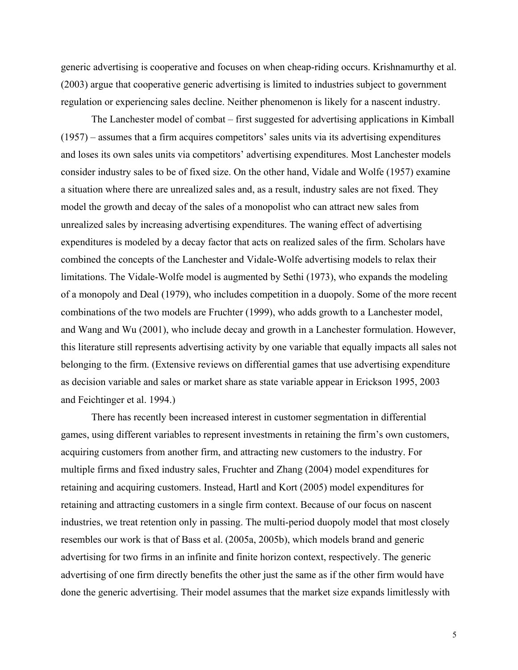generic advertising is cooperative and focuses on when cheap-riding occurs. Krishnamurthy et al. (2003) argue that cooperative generic advertising is limited to industries subject to government regulation or experiencing sales decline. Neither phenomenon is likely for a nascent industry.

The Lanchester model of combat – first suggested for advertising applications in Kimball (1957) – assumes that a firm acquires competitors' sales units via its advertising expenditures and loses its own sales units via competitors' advertising expenditures. Most Lanchester models consider industry sales to be of fixed size. On the other hand, Vidale and Wolfe (1957) examine a situation where there are unrealized sales and, as a result, industry sales are not fixed. They model the growth and decay of the sales of a monopolist who can attract new sales from unrealized sales by increasing advertising expenditures. The waning effect of advertising expenditures is modeled by a decay factor that acts on realized sales of the firm. Scholars have combined the concepts of the Lanchester and Vidale-Wolfe advertising models to relax their limitations. The Vidale-Wolfe model is augmented by Sethi (1973), who expands the modeling of a monopoly and Deal (1979), who includes competition in a duopoly. Some of the more recent combinations of the two models are Fruchter (1999), who adds growth to a Lanchester model, and Wang and Wu (2001), who include decay and growth in a Lanchester formulation. However, this literature still represents advertising activity by one variable that equally impacts all sales not belonging to the firm. (Extensive reviews on differential games that use advertising expenditure as decision variable and sales or market share as state variable appear in Erickson 1995, 2003 and Feichtinger et al. 1994.)

There has recently been increased interest in customer segmentation in differential games, using different variables to represent investments in retaining the firm's own customers, acquiring customers from another firm, and attracting new customers to the industry. For multiple firms and fixed industry sales, Fruchter and Zhang (2004) model expenditures for retaining and acquiring customers. Instead, Hartl and Kort (2005) model expenditures for retaining and attracting customers in a single firm context. Because of our focus on nascent industries, we treat retention only in passing. The multi-period duopoly model that most closely resembles our work is that of Bass et al. (2005a, 2005b), which models brand and generic advertising for two firms in an infinite and finite horizon context, respectively. The generic advertising of one firm directly benefits the other just the same as if the other firm would have done the generic advertising. Their model assumes that the market size expands limitlessly with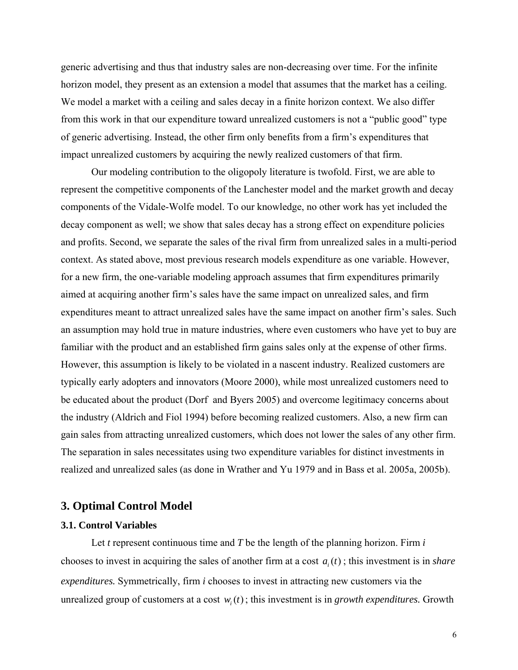generic advertising and thus that industry sales are non-decreasing over time. For the infinite horizon model, they present as an extension a model that assumes that the market has a ceiling. We model a market with a ceiling and sales decay in a finite horizon context. We also differ from this work in that our expenditure toward unrealized customers is not a "public good" type of generic advertising. Instead, the other firm only benefits from a firm's expenditures that impact unrealized customers by acquiring the newly realized customers of that firm.

Our modeling contribution to the oligopoly literature is twofold. First, we are able to represent the competitive components of the Lanchester model and the market growth and decay components of the Vidale-Wolfe model. To our knowledge, no other work has yet included the decay component as well; we show that sales decay has a strong effect on expenditure policies and profits. Second, we separate the sales of the rival firm from unrealized sales in a multi-period context. As stated above, most previous research models expenditure as one variable. However, for a new firm, the one-variable modeling approach assumes that firm expenditures primarily aimed at acquiring another firm's sales have the same impact on unrealized sales, and firm expenditures meant to attract unrealized sales have the same impact on another firm's sales. Such an assumption may hold true in mature industries, where even customers who have yet to buy are familiar with the product and an established firm gains sales only at the expense of other firms. However, this assumption is likely to be violated in a nascent industry. Realized customers are typically early adopters and innovators (Moore 2000), while most unrealized customers need to be educated about the product (Dorf and Byers 2005) and overcome legitimacy concerns about the industry (Aldrich and Fiol 1994) before becoming realized customers. Also, a new firm can gain sales from attracting unrealized customers, which does not lower the sales of any other firm. The separation in sales necessitates using two expenditure variables for distinct investments in realized and unrealized sales (as done in Wrather and Yu 1979 and in Bass et al. 2005a, 2005b).

## **3. Optimal Control Model**

#### **3.1. Control Variables**

Let *t* represent continuous time and *T* be the length of the planning horizon. Firm *i* chooses to invest in acquiring the sales of another firm at a cost  $a_i(t)$ ; this investment is in *share expenditures.* Symmetrically, firm *i* chooses to invest in attracting new customers via the unrealized group of customers at a cost  $w_i(t)$ ; this investment is in *growth expenditures*. Growth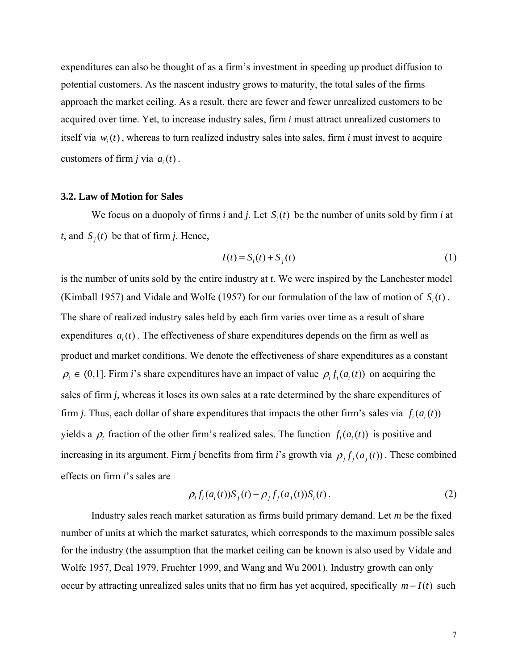expenditures can also be thought of as a firm's investment in speeding up product diffusion to potential customers. As the nascent industry grows to maturity, the total sales of the firms approach the market ceiling. As a result, there are fewer and fewer unrealized customers to be acquired over time. Yet, to increase industry sales, firm *i* must attract unrealized customers to itself via  $w_i(t)$ , whereas to turn realized industry sales into sales, firm *i* must invest to acquire customers of firm *j* via  $a_i(t)$ .

#### **3.2. Law of Motion for Sales**

We focus on a duopoly of firms *i* and *j*. Let  $S_i(t)$  be the number of units sold by firm *i* at *t*, and  $S_j(t)$  be that of firm *j*. Hence,

$$
I(t) = Si(t) + Sj(t)
$$
\n(1)

is the number of units sold by the entire industry at *t*. We were inspired by the Lanchester model (Kimball 1957) and Vidale and Wolfe (1957) for our formulation of the law of motion of  $S_i(t)$ . The share of realized industry sales held by each firm varies over time as a result of share expenditures  $a_i(t)$ . The effectiveness of share expenditures depends on the firm as well as product and market conditions. We denote the effectiveness of share expenditures as a constant  $\rho_i \in (0,1]$ . Firm *i*'s share expenditures have an impact of value  $\rho_i f_i(a_i(t))$  on acquiring the sales of firm *j*, whereas it loses its own sales at a rate determined by the share expenditures of firm *j*. Thus, each dollar of share expenditures that impacts the other firm's sales via  $f_i(a_i(t))$ yields a  $\rho_i$  fraction of the other firm's realized sales. The function  $f_i(a_i(t))$  is positive and increasing in its argument. Firm *j* benefits from firm *i*'s growth via  $\rho_i f_i(a_i(t))$ . These combined effects on firm *i*'s sales are

$$
\rho_i f_i(a_i(t)) S_j(t) - \rho_j f_j(a_j(t)) S_i(t).
$$
 (2)

Industry sales reach market saturation as firms build primary demand. Let *m* be the fixed number of units at which the market saturates, which corresponds to the maximum possible sales for the industry (the assumption that the market ceiling can be known is also used by Vidale and Wolfe 1957, Deal 1979, Fruchter 1999, and Wang and Wu 2001). Industry growth can only occur by attracting unrealized sales units that no firm has yet acquired, specifically  $m - I(t)$  such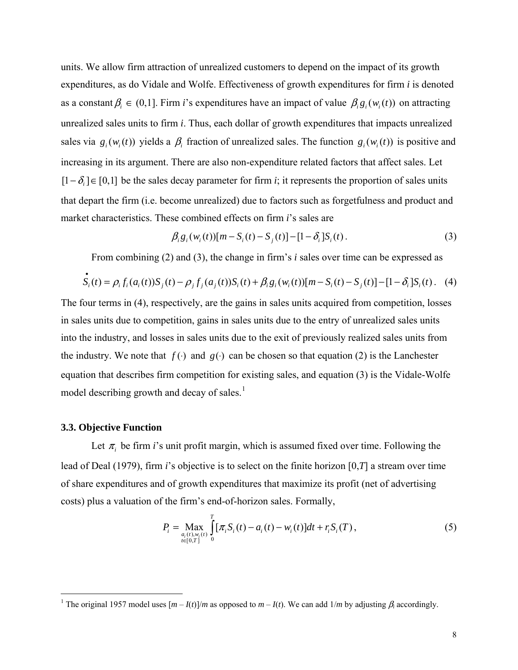<span id="page-8-0"></span>units. We allow firm attraction of unrealized customers to depend on the impact of its growth expenditures, as do Vidale and Wolfe. Effectiveness of growth expenditures for firm *i* is denoted as a constant  $\beta_i \in (0,1]$ . Firm *i*'s expenditures have an impact of value  $\beta_i g_i(w_i(t))$  on attracting unrealized sales units to firm *i*. Thus, each dollar of growth expenditures that impacts unrealized sales via  $g_i(w_i(t))$  yields a  $\beta_i$  fraction of unrealized sales. The function  $g_i(w_i(t))$  is positive and increasing in its argument. There are also non-expenditure related factors that affect sales. Let [ $1 - \delta$ <sub>i</sub>]∈ [0,1] be the sales decay parameter for firm *i*; it represents the proportion of sales units that depart the firm (i.e. become unrealized) due to factors such as forgetfulness and product and market characteristics. These combined effects on firm *i*'s sales are

$$
\beta_i g_i(w_i(t))[m - S_i(t) - S_j(t)] - [1 - \delta_i]S_i(t). \tag{3}
$$

From combining (2) and (3), the change in firm's *i* sales over time can be expressed as

$$
\dot{S}_i(t) = \rho_i f_i(a_i(t)) S_j(t) - \rho_j f_j(a_j(t)) S_i(t) + \beta_i g_i(w_i(t)) [m - S_i(t) - S_j(t)] - [1 - \delta_i] S_i(t).
$$
 (4)

The four terms in (4), respectively, are the gains in sales units acquired from competition, losses in sales units due to competition, gains in sales units due to the entry of unrealized sales units into the industry, and losses in sales units due to the exit of previously realized sales units from the industry. We note that  $f()$  and  $g()$  can be chosen so that equation (2) is the Lanchester equation that describes firm competition for existing sales, and equation (3) is the Vidale-Wolfe model describing growth and decay of sales.<sup>[1](#page-8-0)</sup>

#### **3.3. Objective Function**

Let  $\pi$ <sub>*i*</sub> be firm *i*'s unit profit margin, which is assumed fixed over time. Following the lead of Deal (1979), firm *i*'s objective is to select on the finite horizon [0,*T*] a stream over time of share expenditures and of growth expenditures that maximize its profit (net of advertising costs) plus a valuation of the firm's end-of-horizon sales. Formally,

$$
P_i = \max_{\substack{a_i(t), w_i(t) \\ t \in [0,T]}} \int_0^T [\pi_i S_i(t) - a_i(t) - w_i(t)] dt + r_i S_i(T), \qquad (5)
$$

<sup>&</sup>lt;sup>1</sup> The original 1957 model uses  $[m - I(t)]/m$  as opposed to  $m - I(t)$ . We can add  $1/m$  by adjusting  $\beta_i$  accordingly.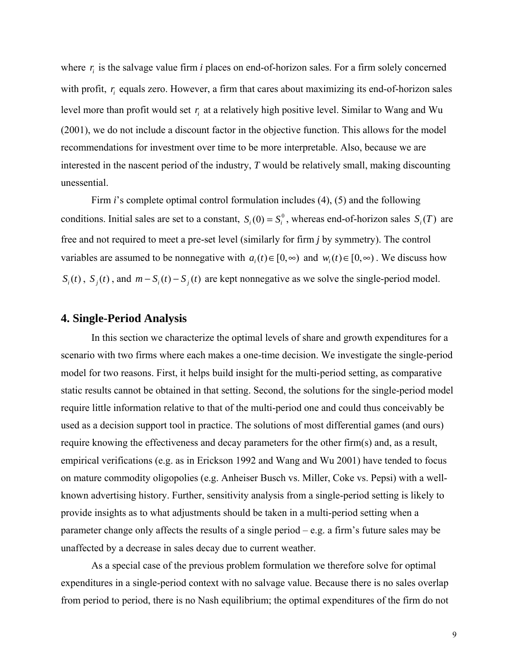where  $r_i$  is the salvage value firm *i* places on end-of-horizon sales. For a firm solely concerned with profit,  $r_i$  equals zero. However, a firm that cares about maximizing its end-of-horizon sales level more than profit would set  $r_i$  at a relatively high positive level. Similar to Wang and Wu (2001), we do not include a discount factor in the objective function. This allows for the model recommendations for investment over time to be more interpretable. Also, because we are interested in the nascent period of the industry, *T* would be relatively small, making discounting unessential.

Firm *i*'s complete optimal control formulation includes (4), (5) and the following conditions. Initial sales are set to a constant,  $S_i(0) = S_i^0$ , whereas end-of-horizon sales  $S_i(T)$  are free and not required to meet a pre-set level (similarly for firm *j* by symmetry). The control variables are assumed to be nonnegative with  $a_i(t) \in [0, \infty)$  and  $w_i(t) \in [0, \infty)$ . We discuss how  $S_i(t)$ ,  $S_j(t)$ , and  $m - S_i(t) - S_j(t)$  are kept nonnegative as we solve the single-period model.

### **4. Single-Period Analysis**

In this section we characterize the optimal levels of share and growth expenditures for a scenario with two firms where each makes a one-time decision. We investigate the single-period model for two reasons. First, it helps build insight for the multi-period setting, as comparative static results cannot be obtained in that setting. Second, the solutions for the single-period model require little information relative to that of the multi-period one and could thus conceivably be used as a decision support tool in practice. The solutions of most differential games (and ours) require knowing the effectiveness and decay parameters for the other firm(s) and, as a result, empirical verifications (e.g. as in Erickson 1992 and Wang and Wu 2001) have tended to focus on mature commodity oligopolies (e.g. Anheiser Busch vs. Miller, Coke vs. Pepsi) with a wellknown advertising history. Further, sensitivity analysis from a single-period setting is likely to provide insights as to what adjustments should be taken in a multi-period setting when a parameter change only affects the results of a single period – e.g. a firm's future sales may be unaffected by a decrease in sales decay due to current weather.

As a special case of the previous problem formulation we therefore solve for optimal expenditures in a single-period context with no salvage value. Because there is no sales overlap from period to period, there is no Nash equilibrium; the optimal expenditures of the firm do not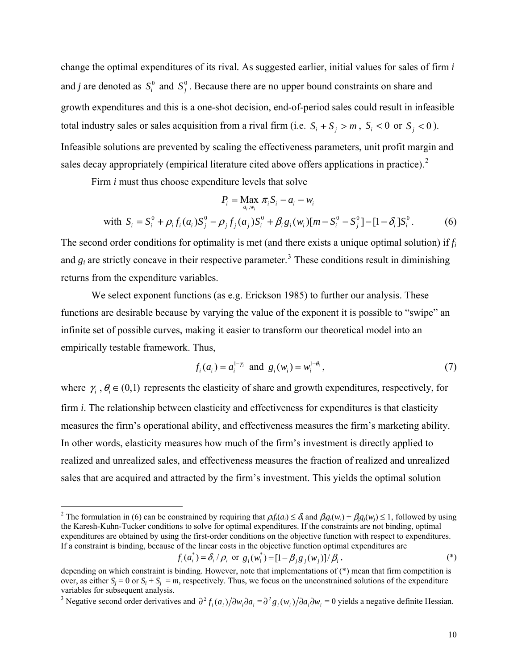<span id="page-10-0"></span>change the optimal expenditures of its rival*.* As suggested earlier, initial values for sales of firm *i*  and *j* are denoted as  $S_i^0$  and  $S_j^0$ . Because there are no upper bound constraints on share and growth expenditures and this is a one-shot decision, end-of-period sales could result in infeasible total industry sales or sales acquisition from a rival firm (i.e.  $S_i + S_j > m$ ,  $S_i < 0$  or  $S_j < 0$ ). Infeasible solutions are prevented by scaling the effectiveness parameters, unit profit margin and sales decay appropriately (empirical literature cited above offers applications in practice). $2$ 

Firm *i* must thus choose expenditure levels that solve

 $\overline{a}$ 

$$
P_i = \max_{a_i, w_i} \pi_i S_i - a_i - w_i
$$
  
with 
$$
S_i = S_i^0 + \rho_i f_i(a_i) S_j^0 - \rho_j f_j(a_j) S_i^0 + \beta_i g_i(w_i) [m - S_i^0 - S_j^0] - [1 - \delta_i] S_i^0.
$$
 (6)

The second order conditions for optimality is met (and there exists a unique optimal solution) if *fi* and  $g_i$  are strictly concave in their respective parameter.<sup>[3](#page-10-0)</sup> These conditions result in diminishing returns from the expenditure variables.

We select exponent functions (as e.g. Erickson 1985) to further our analysis. These functions are desirable because by varying the value of the exponent it is possible to "swipe" an infinite set of possible curves, making it easier to transform our theoretical model into an empirically testable framework. Thus,

$$
f_i(a_i) = a_i^{1-\gamma_i}
$$
 and  $g_i(w_i) = w_i^{1-\theta_i}$ , (7)

where  $\gamma_i$ ,  $\theta_i \in (0,1)$  represents the elasticity of share and growth expenditures, respectively, for firm *i*. The relationship between elasticity and effectiveness for expenditures is that elasticity measures the firm's operational ability, and effectiveness measures the firm's marketing ability. In other words, elasticity measures how much of the firm's investment is directly applied to realized and unrealized sales, and effectiveness measures the fraction of realized and unrealized sales that are acquired and attracted by the firm's investment. This yields the optimal solution

$$
f_i(a_i^*) = \delta_i / \rho_i
$$
 or  $g_i(w_i^*) = [1 - \beta_j g_j(w_j)] / \beta_i$ , (\*)

<sup>&</sup>lt;sup>2</sup> The formulation in (6) can be constrained by requiring that  $\rho_i f_i(a_i) \leq \delta_i$  and  $\beta_i g_i(w_i) + \beta_i g_j(w_j) \leq 1$ , followed by using the Karesh-Kuhn-Tucker conditions to solve for optimal expenditures. If the constraints are not binding, optimal expenditures are obtained by using the first-order conditions on the objective function with respect to expenditures. If a constraint is binding, because of the linear costs in the objective function optimal expenditures are

depending on which constraint is binding. However, note that implementations of (\*) mean that firm competition is over, as either  $S_i = 0$  or  $S_i + S_j = m$ , respectively. Thus, we focus on the unconstrained solutions of the expenditure variables for subsequent analysis.

<sup>&</sup>lt;sup>3</sup> Negative second order derivatives and  $\partial^2 f_i(a_i)/\partial w_i \partial a_i = \partial^2 g_i(w_i)/\partial a_i \partial w_i = 0$  yields a negative definite Hessian.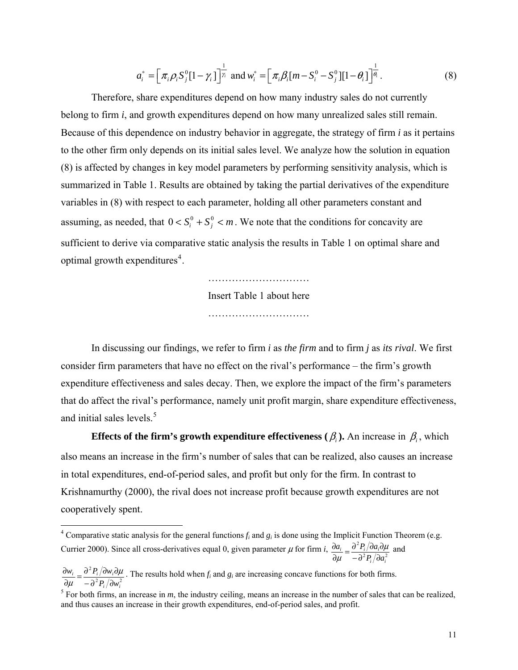$$
a_i^* = \left[ \pi_i \rho_i S_j^0 [1 - \gamma_i] \right]_i^{\frac{1}{2}} \text{ and } w_i^* = \left[ \pi_i \beta_i [m - S_i^0 - S_j^0] [1 - \theta_i] \right]_i^{\frac{1}{\theta_i}}.
$$
 (8)

<span id="page-11-0"></span> Therefore, share expenditures depend on how many industry sales do not currently belong to firm *i*, and growth expenditures depend on how many unrealized sales still remain. Because of this dependence on industry behavior in aggregate, the strategy of firm *i* as it pertains to the other firm only depends on its initial sales level. We analyze how the solution in equation (8) is affected by changes in key model parameters by performing sensitivity analysis, which is summarized in Table 1. Results are obtained by taking the partial derivatives of the expenditure variables in (8) with respect to each parameter, holding all other parameters constant and assuming, as needed, that  $0 < S_i^0 + S_j^0 < m$ . We note that the conditions for concavity are sufficient to derive via comparative static analysis the results in Table 1 on optimal share and optimal growth expenditures [4](#page-11-0) .

> ………………………… Insert Table 1 about here

 In discussing our findings, we refer to firm *i* as *the firm* and to firm *j* as *its rival*. We first consider firm parameters that have no effect on the rival's performance – the firm's growth expenditure effectiveness and sales decay. Then, we explore the impact of the firm's parameters that do affect the rival's performance, namely unit profit margin, share expenditure effectiveness, and initial sales levels.<sup>[5](#page-11-0)</sup>

**Effects of the firm's growth expenditure effectiveness (** $\beta$ **<sub>i</sub>). An increase in**  $\beta$ **<sub>i</sub>, which** also means an increase in the firm's number of sales that can be realized, also causes an increase in total expenditures, end-of-period sales, and profit but only for the firm. In contrast to Krishnamurthy (2000), the rival does not increase profit because growth expenditures are not cooperatively spent.

<u>.</u>

*ii*

<sup>&</sup>lt;sup>4</sup> Comparative static analysis for the general functions  $f_i$  and  $g_i$  is done using the Implicit Function Theorem (e.g. Currier 2000). Since all cross-derivatives equal 0, given parameter  $\mu$  for firm *i*,  $\frac{\partial a_i}{\partial \mu} = \frac{\partial^2 P_i}{\partial a_i \partial \mu} \frac{\partial a_i}{\partial \mu}$  $i =$ <sup> $\sigma$ </sup>  $\mathbf{i}$ <sub>*i*</sub>  $\sigma$  $\mathbf{u}$ <sub>*i*</sub>  $P_i/\partial a$  $a_i$   $\partial^2 P_i/\partial a$  $\frac{\partial a_i}{\partial \mu} = \frac{\partial^2 P_i}{\partial^2 P_i / \partial a_i^2}$ μ and

<sup>2</sup>  $D/2...^2$ 2 *ii*  $i \perp$ <sup>*v*</sup> *i*<sub>*i*</sub>/*v<sub><i>i*</sub></sup>  $P_{i}/\partial w$  $w_i = \partial^2 P_i / \partial w$  $\frac{\partial w_i}{\partial \mu} = \frac{\partial^2 P_i}{\partial v_i \partial w_i} \frac{\partial \mu}{\partial w_i^2}$ μ . The results hold when  $f_i$  and  $g_i$  are increasing concave functions for both firms.

<sup>&</sup>lt;sup>5</sup> For both firms, an increase in  $m$ , the industry ceiling, means an increase in the number of sales that can be realized, and thus causes an increase in their growth expenditures, end-of-period sales, and profit.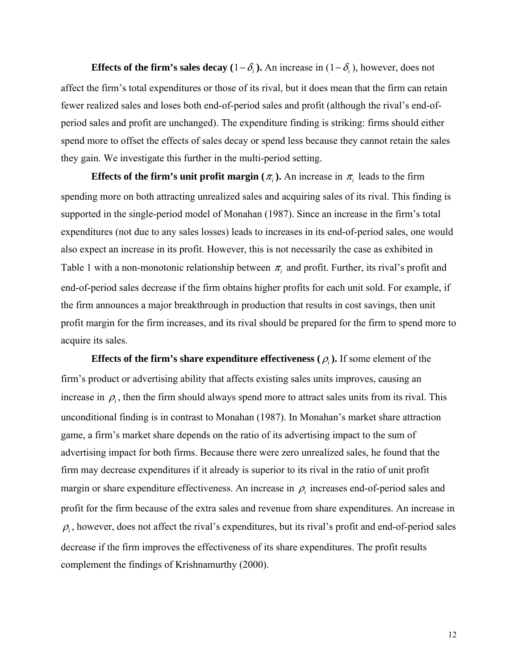**Effects of the firm's sales decay (1−** $\delta$ **<sub>***i***</sub>). An increase in (1−** $\delta$ **<sub>***i***</sub>), however, does not** affect the firm's total expenditures or those of its rival, but it does mean that the firm can retain fewer realized sales and loses both end-of-period sales and profit (although the rival's end-ofperiod sales and profit are unchanged). The expenditure finding is striking: firms should either spend more to offset the effects of sales decay or spend less because they cannot retain the sales they gain. We investigate this further in the multi-period setting.

**Effects of the firm's unit profit margin (** $\pi$ **<sub>i</sub>). An increase in**  $\pi$ **<sub>i</sub> leads to the firm** spending more on both attracting unrealized sales and acquiring sales of its rival. This finding is supported in the single-period model of Monahan (1987). Since an increase in the firm's total expenditures (not due to any sales losses) leads to increases in its end-of-period sales, one would also expect an increase in its profit. However, this is not necessarily the case as exhibited in Table 1 with a non-monotonic relationship between  $\pi$ <sub>i</sub> and profit. Further, its rival's profit and end-of-period sales decrease if the firm obtains higher profits for each unit sold. For example, if the firm announces a major breakthrough in production that results in cost savings, then unit profit margin for the firm increases, and its rival should be prepared for the firm to spend more to acquire its sales.

**Effects of the firm's share expenditure effectiveness (** $\rho$ **).** If some element of the firm's product or advertising ability that affects existing sales units improves, causing an increase in  $\rho$ <sub>i</sub>, then the firm should always spend more to attract sales units from its rival. This unconditional finding is in contrast to Monahan (1987). In Monahan's market share attraction game, a firm's market share depends on the ratio of its advertising impact to the sum of advertising impact for both firms. Because there were zero unrealized sales, he found that the firm may decrease expenditures if it already is superior to its rival in the ratio of unit profit margin or share expenditure effectiveness. An increase in  $\rho_i$  increases end-of-period sales and profit for the firm because of the extra sales and revenue from share expenditures. An increase in  $\rho_i$ , however, does not affect the rival's expenditures, but its rival's profit and end-of-period sales decrease if the firm improves the effectiveness of its share expenditures. The profit results complement the findings of Krishnamurthy (2000).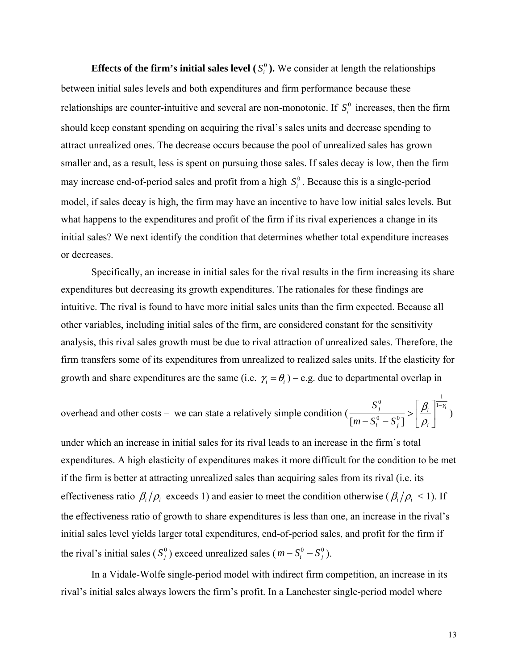**Effects of the firm's initial sales level**  $(S_i^0)$ . We consider at length the relationships between initial sales levels and both expenditures and firm performance because these relationships are counter-intuitive and several are non-monotonic. If  $S_i^0$  increases, then the firm should keep constant spending on acquiring the rival's sales units and decrease spending to attract unrealized ones. The decrease occurs because the pool of unrealized sales has grown smaller and, as a result, less is spent on pursuing those sales. If sales decay is low, then the firm may increase end-of-period sales and profit from a high  $S_i^0$ . Because this is a single-period model, if sales decay is high, the firm may have an incentive to have low initial sales levels. But what happens to the expenditures and profit of the firm if its rival experiences a change in its initial sales? We next identify the condition that determines whether total expenditure increases or decreases.

Specifically, an increase in initial sales for the rival results in the firm increasing its share expenditures but decreasing its growth expenditures. The rationales for these findings are intuitive. The rival is found to have more initial sales units than the firm expected. Because all other variables, including initial sales of the firm, are considered constant for the sensitivity analysis, this rival sales growth must be due to rival attraction of unrealized sales. Therefore, the firm transfers some of its expenditures from unrealized to realized sales units. If the elasticity for growth and share expenditures are the same (i.e.  $\gamma_i = \theta_i$ ) – e.g. due to departmental overlap in

overhead and other costs – we can state a relatively simple condition 
$$
\left(\frac{S_j^0}{[m-S_i^0-S_j^0]}\right) \ge \left[\frac{\beta_i}{\rho_i}\right]^{\frac{1}{1-\gamma_i}}
$$

under which an increase in initial sales for its rival leads to an increase in the firm's total expenditures. A high elasticity of expenditures makes it more difficult for the condition to be met if the firm is better at attracting unrealized sales than acquiring sales from its rival (i.e. its effectiveness ratio  $\beta_i/\rho_i$  exceeds 1) and easier to meet the condition otherwise ( $\beta_i/\rho_i$  < 1). If the effectiveness ratio of growth to share expenditures is less than one, an increase in the rival's initial sales level yields larger total expenditures, end-of-period sales, and profit for the firm if the rival's initial sales ( $S_j^0$ ) exceed unrealized sales ( $m - S_i^0 - S_j^0$ ).

In a Vidale-Wolfe single-period model with indirect firm competition, an increase in its rival's initial sales always lowers the firm's profit. In a Lanchester single-period model where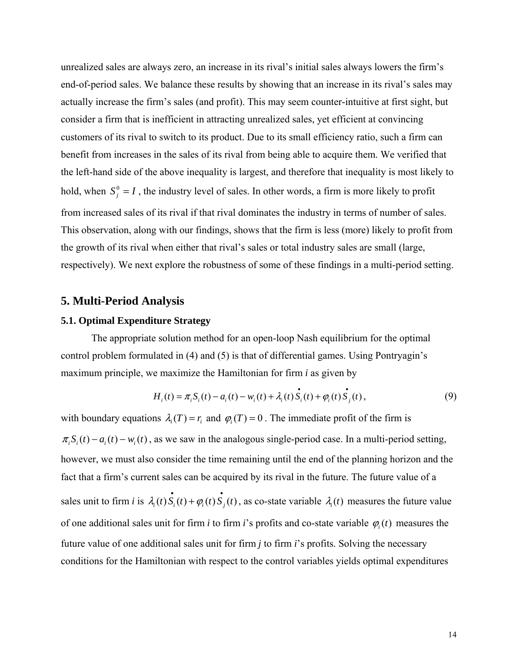unrealized sales are always zero, an increase in its rival's initial sales always lowers the firm's end-of-period sales. We balance these results by showing that an increase in its rival's sales may actually increase the firm's sales (and profit). This may seem counter-intuitive at first sight, but consider a firm that is inefficient in attracting unrealized sales, yet efficient at convincing customers of its rival to switch to its product. Due to its small efficiency ratio, such a firm can benefit from increases in the sales of its rival from being able to acquire them. We verified that the left-hand side of the above inequality is largest, and therefore that inequality is most likely to hold, when  $S_j^0 = I$ , the industry level of sales. In other words, a firm is more likely to profit from increased sales of its rival if that rival dominates the industry in terms of number of sales. This observation, along with our findings, shows that the firm is less (more) likely to profit from the growth of its rival when either that rival's sales or total industry sales are small (large, respectively). We next explore the robustness of some of these findings in a multi-period setting.

### **5. Multi-Period Analysis**

### **5.1. Optimal Expenditure Strategy**

The appropriate solution method for an open-loop Nash equilibrium for the optimal control problem formulated in (4) and (5) is that of differential games. Using Pontryagin's maximum principle, we maximize the Hamiltonian for firm *i* as given by

$$
H_i(t) = \pi_i S_i(t) - a_i(t) - w_i(t) + \lambda_i(t) \dot{S}_i(t) + \varphi_i(t) \dot{S}_j(t),
$$
\n(9)

with boundary equations  $\lambda_i(T) = r_i$  and  $\varphi_i(T) = 0$ . The immediate profit of the firm is  $\pi_i S_i(t) - a_i(t) - w_i(t)$ , as we saw in the analogous single-period case. In a multi-period setting, however, we must also consider the time remaining until the end of the planning horizon and the fact that a firm's current sales can be acquired by its rival in the future. The future value of a sales unit to firm *i* is  $\lambda_i(t)$   $\vec{S}_i(t) + \varphi_i(t) \vec{S}_j(t)$ , as co-state variable  $\lambda_i(t)$  measures the future value of one additional sales unit for firm *i* to firm *i*'s profits and co-state variable  $\varphi_i(t)$  measures the future value of one additional sales unit for firm *j* to firm *i*'s profits. Solving the necessary conditions for the Hamiltonian with respect to the control variables yields optimal expenditures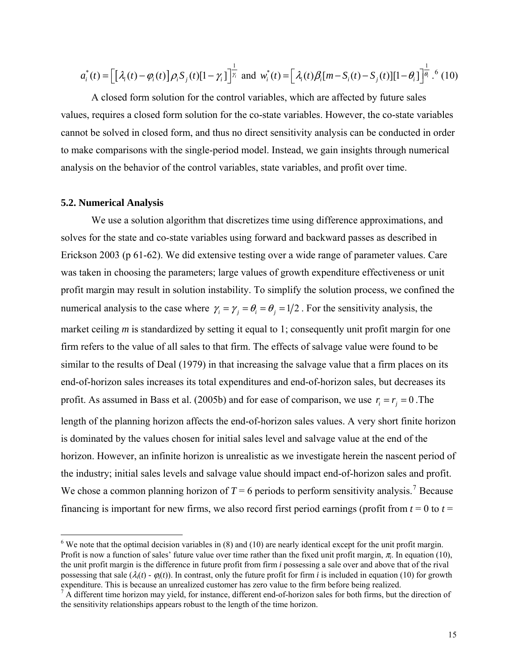<span id="page-15-0"></span>
$$
a_i^*(t) = \left[\left[\lambda_i(t) - \varphi_i(t)\right]\rho_i S_j(t)\left[1 - \gamma_i\right]\right]_{\gamma_i}^{\frac{1}{\gamma_i}} \text{ and } w_i^*(t) = \left[\lambda_i(t)\beta_i[m - S_i(t) - S_j(t)]\left[1 - \theta_i\right]\right]_{\beta_i}^{\frac{1}{\gamma_i}}.
$$
 (10)

A closed form solution for the control variables, which are affected by future sales values, requires a closed form solution for the co-state variables. However, the co-state variables cannot be solved in closed form, and thus no direct sensitivity analysis can be conducted in order to make comparisons with the single-period model. Instead, we gain insights through numerical analysis on the behavior of the control variables, state variables, and profit over time.

#### **5.2. Numerical Analysis**

<u>.</u>

We use a solution algorithm that discretizes time using difference approximations, and solves for the state and co-state variables using forward and backward passes as described in Erickson 2003 (p 61-62). We did extensive testing over a wide range of parameter values. Care was taken in choosing the parameters; large values of growth expenditure effectiveness or unit profit margin may result in solution instability. To simplify the solution process, we confined the numerical analysis to the case where  $\gamma_i = \gamma_j = \theta_i = 1/2$ . For the sensitivity analysis, the market ceiling *m* is standardized by setting it equal to 1; consequently unit profit margin for one firm refers to the value of all sales to that firm. The effects of salvage value were found to be similar to the results of Deal (1979) in that increasing the salvage value that a firm places on its end-of-horizon sales increases its total expenditures and end-of-horizon sales, but decreases its profit. As assumed in Bass et al. (2005b) and for ease of comparison, we use  $r_i = r_j = 0$ . The length of the planning horizon affects the end-of-horizon sales values. A very short finite horizon is dominated by the values chosen for initial sales level and salvage value at the end of the horizon. However, an infinite horizon is unrealistic as we investigate herein the nascent period of the industry; initial sales levels and salvage value should impact end-of-horizon sales and profit. We chose a common planning horizon of  $T = 6$  periods to perform sensitivity analysis.<sup>[7](#page-15-0)</sup> Because financing is important for new firms, we also record first period earnings (profit from  $t = 0$  to  $t =$ 

 $6$  We note that the optimal decision variables in (8) and (10) are nearly identical except for the unit profit margin. Profit is now a function of sales' future value over time rather than the fixed unit profit margin,  $\pi$ . In equation (10), the unit profit margin is the difference in future profit from firm *i* possessing a sale over and above that of the rival possessing that sale  $(\lambda_i(t) - \varphi_i(t))$ . In contrast, only the future profit for firm *i* is included in equation (10) for growth

expenditure. This is because an unrealized customer has zero value to the firm before being realized.<br><sup>7</sup> A different time horizon may yield, for instance, different end-of-horizon sales for both firms, but the direction the sensitivity relationships appears robust to the length of the time horizon.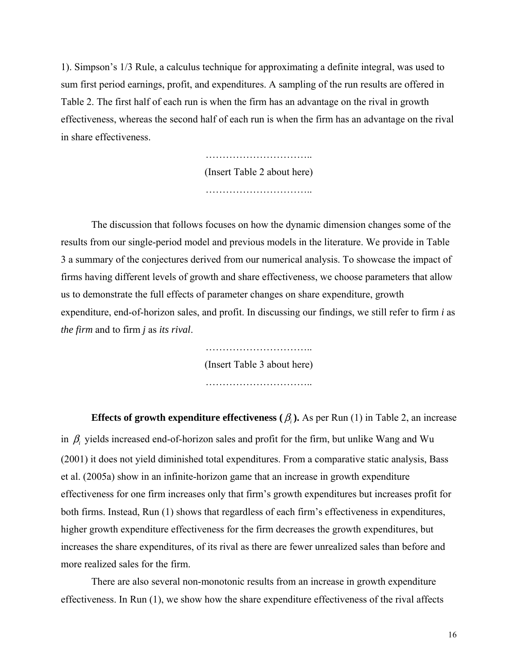1). Simpson's 1/3 Rule, a calculus technique for approximating a definite integral, was used to sum first period earnings, profit, and expenditures. A sampling of the run results are offered in Table 2. The first half of each run is when the firm has an advantage on the rival in growth effectiveness, whereas the second half of each run is when the firm has an advantage on the rival in share effectiveness.

> ………………………….. (Insert Table 2 about here) …………………………..

The discussion that follows focuses on how the dynamic dimension changes some of the results from our single-period model and previous models in the literature. We provide in Table 3 a summary of the conjectures derived from our numerical analysis. To showcase the impact of firms having different levels of growth and share effectiveness, we choose parameters that allow us to demonstrate the full effects of parameter changes on share expenditure, growth expenditure, end-of-horizon sales, and profit. In discussing our findings, we still refer to firm *i* as *the firm* and to firm *j* as *its rival*.

> …………………………………… (Insert Table 3 about here) …………………………..

**Effects of growth expenditure effectiveness**  $(\beta_i)$ **. As per Run (1) in Table 2, an increase** in  $\beta$  yields increased end-of-horizon sales and profit for the firm, but unlike Wang and Wu (2001) it does not yield diminished total expenditures. From a comparative static analysis, Bass et al. (2005a) show in an infinite-horizon game that an increase in growth expenditure effectiveness for one firm increases only that firm's growth expenditures but increases profit for both firms. Instead, Run (1) shows that regardless of each firm's effectiveness in expenditures, higher growth expenditure effectiveness for the firm decreases the growth expenditures, but increases the share expenditures, of its rival as there are fewer unrealized sales than before and more realized sales for the firm.

There are also several non-monotonic results from an increase in growth expenditure effectiveness. In Run (1), we show how the share expenditure effectiveness of the rival affects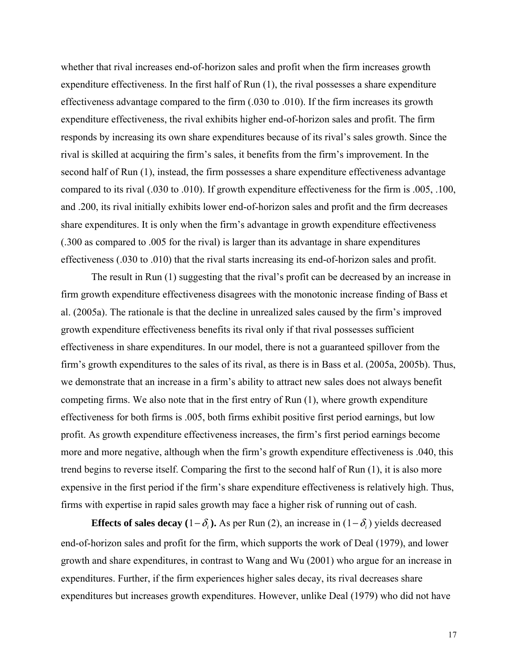whether that rival increases end-of-horizon sales and profit when the firm increases growth expenditure effectiveness. In the first half of Run (1), the rival possesses a share expenditure effectiveness advantage compared to the firm (.030 to .010). If the firm increases its growth expenditure effectiveness, the rival exhibits higher end-of-horizon sales and profit. The firm responds by increasing its own share expenditures because of its rival's sales growth. Since the rival is skilled at acquiring the firm's sales, it benefits from the firm's improvement. In the second half of Run (1), instead, the firm possesses a share expenditure effectiveness advantage compared to its rival (.030 to .010). If growth expenditure effectiveness for the firm is .005, .100, and .200, its rival initially exhibits lower end-of-horizon sales and profit and the firm decreases share expenditures. It is only when the firm's advantage in growth expenditure effectiveness (.300 as compared to .005 for the rival) is larger than its advantage in share expenditures effectiveness (.030 to .010) that the rival starts increasing its end-of-horizon sales and profit.

The result in Run (1) suggesting that the rival's profit can be decreased by an increase in firm growth expenditure effectiveness disagrees with the monotonic increase finding of Bass et al. (2005a). The rationale is that the decline in unrealized sales caused by the firm's improved growth expenditure effectiveness benefits its rival only if that rival possesses sufficient effectiveness in share expenditures. In our model, there is not a guaranteed spillover from the firm's growth expenditures to the sales of its rival, as there is in Bass et al. (2005a, 2005b). Thus, we demonstrate that an increase in a firm's ability to attract new sales does not always benefit competing firms. We also note that in the first entry of Run (1), where growth expenditure effectiveness for both firms is .005, both firms exhibit positive first period earnings, but low profit. As growth expenditure effectiveness increases, the firm's first period earnings become more and more negative, although when the firm's growth expenditure effectiveness is .040, this trend begins to reverse itself. Comparing the first to the second half of Run (1), it is also more expensive in the first period if the firm's share expenditure effectiveness is relatively high. Thus, firms with expertise in rapid sales growth may face a higher risk of running out of cash.

**Effects of sales decay**  $(1 - \delta_i)$ . As per Run (2), an increase in  $(1 - \delta_i)$  yields decreased end-of-horizon sales and profit for the firm, which supports the work of Deal (1979), and lower growth and share expenditures, in contrast to Wang and Wu (2001) who argue for an increase in expenditures. Further, if the firm experiences higher sales decay, its rival decreases share expenditures but increases growth expenditures. However, unlike Deal (1979) who did not have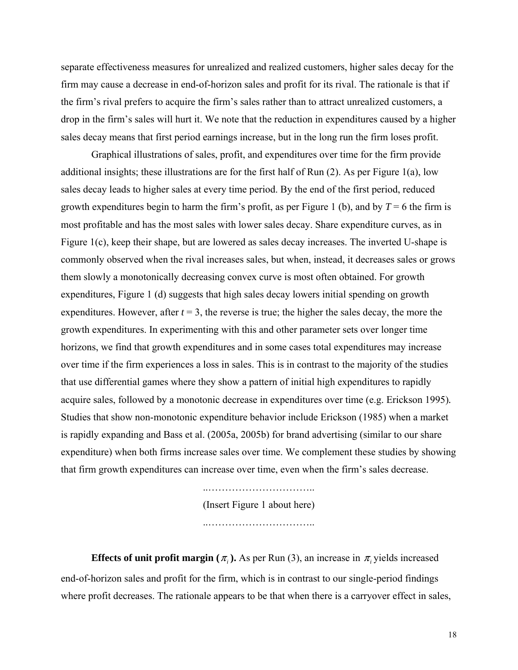separate effectiveness measures for unrealized and realized customers, higher sales decay for the firm may cause a decrease in end-of-horizon sales and profit for its rival. The rationale is that if the firm's rival prefers to acquire the firm's sales rather than to attract unrealized customers, a drop in the firm's sales will hurt it. We note that the reduction in expenditures caused by a higher sales decay means that first period earnings increase, but in the long run the firm loses profit.

 Graphical illustrations of sales, profit, and expenditures over time for the firm provide additional insights; these illustrations are for the first half of Run (2). As per Figure 1(a), low sales decay leads to higher sales at every time period. By the end of the first period, reduced growth expenditures begin to harm the firm's profit, as per Figure 1 (b), and by  $T = 6$  the firm is most profitable and has the most sales with lower sales decay. Share expenditure curves, as in Figure 1(c), keep their shape, but are lowered as sales decay increases. The inverted U-shape is commonly observed when the rival increases sales, but when, instead, it decreases sales or grows them slowly a monotonically decreasing convex curve is most often obtained. For growth expenditures, Figure 1 (d) suggests that high sales decay lowers initial spending on growth expenditures. However, after  $t = 3$ , the reverse is true; the higher the sales decay, the more the growth expenditures. In experimenting with this and other parameter sets over longer time horizons, we find that growth expenditures and in some cases total expenditures may increase over time if the firm experiences a loss in sales. This is in contrast to the majority of the studies that use differential games where they show a pattern of initial high expenditures to rapidly acquire sales, followed by a monotonic decrease in expenditures over time (e.g. Erickson 1995)*.* Studies that show non-monotonic expenditure behavior include Erickson (1985) when a market is rapidly expanding and Bass et al. (2005a, 2005b) for brand advertising (similar to our share expenditure) when both firms increase sales over time. We complement these studies by showing that firm growth expenditures can increase over time, even when the firm's sales decrease.

> ..………………………….. (Insert Figure 1 about here) ..…………………………..

**Effects of unit profit margin (** $\pi$ **<sub>i</sub>**). As per Run (3), an increase in  $\pi$ <sub>i</sub> yields increased end-of-horizon sales and profit for the firm, which is in contrast to our single-period findings where profit decreases. The rationale appears to be that when there is a carryover effect in sales,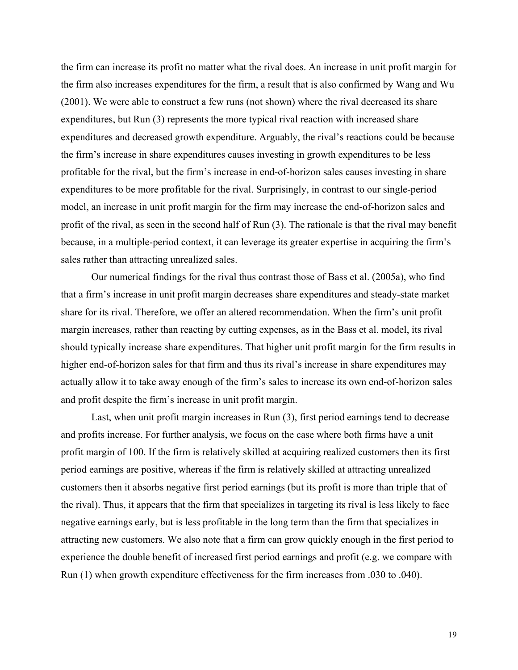the firm can increase its profit no matter what the rival does. An increase in unit profit margin for the firm also increases expenditures for the firm, a result that is also confirmed by Wang and Wu (2001). We were able to construct a few runs (not shown) where the rival decreased its share expenditures, but Run (3) represents the more typical rival reaction with increased share expenditures and decreased growth expenditure. Arguably, the rival's reactions could be because the firm's increase in share expenditures causes investing in growth expenditures to be less profitable for the rival, but the firm's increase in end-of-horizon sales causes investing in share expenditures to be more profitable for the rival. Surprisingly, in contrast to our single-period model, an increase in unit profit margin for the firm may increase the end-of-horizon sales and profit of the rival, as seen in the second half of Run (3). The rationale is that the rival may benefit because, in a multiple-period context, it can leverage its greater expertise in acquiring the firm's sales rather than attracting unrealized sales.

 Our numerical findings for the rival thus contrast those of Bass et al. (2005a), who find that a firm's increase in unit profit margin decreases share expenditures and steady-state market share for its rival. Therefore, we offer an altered recommendation. When the firm's unit profit margin increases, rather than reacting by cutting expenses, as in the Bass et al. model, its rival should typically increase share expenditures. That higher unit profit margin for the firm results in higher end-of-horizon sales for that firm and thus its rival's increase in share expenditures may actually allow it to take away enough of the firm's sales to increase its own end-of-horizon sales and profit despite the firm's increase in unit profit margin.

 Last, when unit profit margin increases in Run (3), first period earnings tend to decrease and profits increase. For further analysis, we focus on the case where both firms have a unit profit margin of 100. If the firm is relatively skilled at acquiring realized customers then its first period earnings are positive, whereas if the firm is relatively skilled at attracting unrealized customers then it absorbs negative first period earnings (but its profit is more than triple that of the rival). Thus, it appears that the firm that specializes in targeting its rival is less likely to face negative earnings early, but is less profitable in the long term than the firm that specializes in attracting new customers. We also note that a firm can grow quickly enough in the first period to experience the double benefit of increased first period earnings and profit (e.g. we compare with Run (1) when growth expenditure effectiveness for the firm increases from .030 to .040).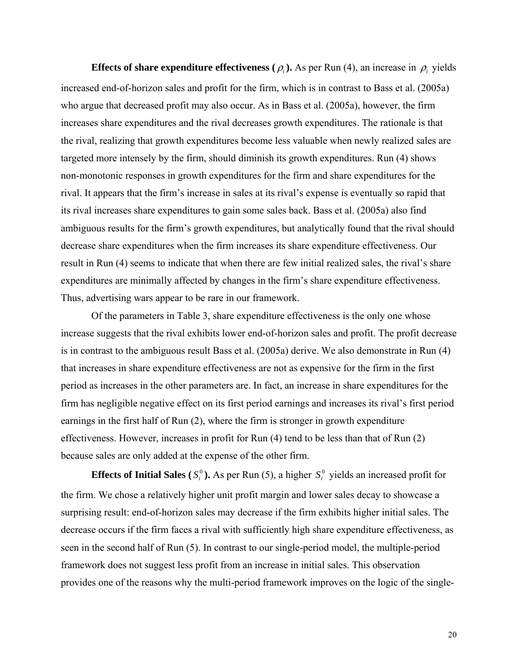**Effects of share expenditure effectiveness (** $\rho$ **<sub>i</sub>).** As per Run (4), an increase in  $\rho$ <sub>i</sub> yields increased end-of-horizon sales and profit for the firm, which is in contrast to Bass et al. (2005a) who argue that decreased profit may also occur. As in Bass et al. (2005a), however, the firm increases share expenditures and the rival decreases growth expenditures. The rationale is that the rival, realizing that growth expenditures become less valuable when newly realized sales are targeted more intensely by the firm, should diminish its growth expenditures. Run (4) shows non-monotonic responses in growth expenditures for the firm and share expenditures for the rival. It appears that the firm's increase in sales at its rival's expense is eventually so rapid that its rival increases share expenditures to gain some sales back. Bass et al. (2005a) also find ambiguous results for the firm's growth expenditures, but analytically found that the rival should decrease share expenditures when the firm increases its share expenditure effectiveness. Our result in Run (4) seems to indicate that when there are few initial realized sales, the rival's share expenditures are minimally affected by changes in the firm's share expenditure effectiveness. Thus, advertising wars appear to be rare in our framework.

 Of the parameters in Table 3, share expenditure effectiveness is the only one whose increase suggests that the rival exhibits lower end-of-horizon sales and profit. The profit decrease is in contrast to the ambiguous result Bass et al. (2005a) derive. We also demonstrate in Run (4) that increases in share expenditure effectiveness are not as expensive for the firm in the first period as increases in the other parameters are. In fact, an increase in share expenditures for the firm has negligible negative effect on its first period earnings and increases its rival's first period earnings in the first half of Run (2), where the firm is stronger in growth expenditure effectiveness. However, increases in profit for Run (4) tend to be less than that of Run (2) because sales are only added at the expense of the other firm.

**Effects of Initial Sales** ( $S_i^0$ ). As per Run (5), a higher  $S_i^0$  yields an increased profit for the firm. We chose a relatively higher unit profit margin and lower sales decay to showcase a surprising result: end-of-horizon sales may decrease if the firm exhibits higher initial sales. The decrease occurs if the firm faces a rival with sufficiently high share expenditure effectiveness, as seen in the second half of Run (5). In contrast to our single-period model, the multiple-period framework does not suggest less profit from an increase in initial sales. This observation provides one of the reasons why the multi-period framework improves on the logic of the single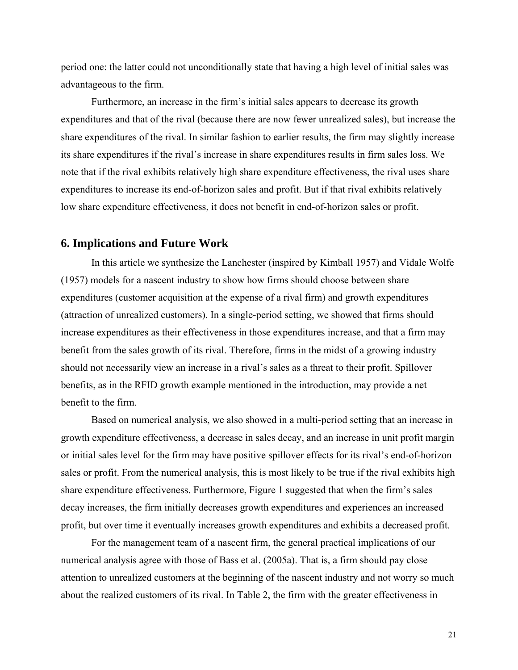period one: the latter could not unconditionally state that having a high level of initial sales was advantageous to the firm.

 Furthermore, an increase in the firm's initial sales appears to decrease its growth expenditures and that of the rival (because there are now fewer unrealized sales), but increase the share expenditures of the rival. In similar fashion to earlier results, the firm may slightly increase its share expenditures if the rival's increase in share expenditures results in firm sales loss. We note that if the rival exhibits relatively high share expenditure effectiveness, the rival uses share expenditures to increase its end-of-horizon sales and profit. But if that rival exhibits relatively low share expenditure effectiveness, it does not benefit in end-of-horizon sales or profit.

### **6. Implications and Future Work**

In this article we synthesize the Lanchester (inspired by Kimball 1957) and Vidale Wolfe (1957) models for a nascent industry to show how firms should choose between share expenditures (customer acquisition at the expense of a rival firm) and growth expenditures (attraction of unrealized customers). In a single-period setting, we showed that firms should increase expenditures as their effectiveness in those expenditures increase, and that a firm may benefit from the sales growth of its rival. Therefore, firms in the midst of a growing industry should not necessarily view an increase in a rival's sales as a threat to their profit. Spillover benefits, as in the RFID growth example mentioned in the introduction, may provide a net benefit to the firm.

Based on numerical analysis, we also showed in a multi-period setting that an increase in growth expenditure effectiveness, a decrease in sales decay, and an increase in unit profit margin or initial sales level for the firm may have positive spillover effects for its rival's end-of-horizon sales or profit. From the numerical analysis, this is most likely to be true if the rival exhibits high share expenditure effectiveness. Furthermore, Figure 1 suggested that when the firm's sales decay increases, the firm initially decreases growth expenditures and experiences an increased profit, but over time it eventually increases growth expenditures and exhibits a decreased profit.

For the management team of a nascent firm, the general practical implications of our numerical analysis agree with those of Bass et al. (2005a). That is, a firm should pay close attention to unrealized customers at the beginning of the nascent industry and not worry so much about the realized customers of its rival. In Table 2, the firm with the greater effectiveness in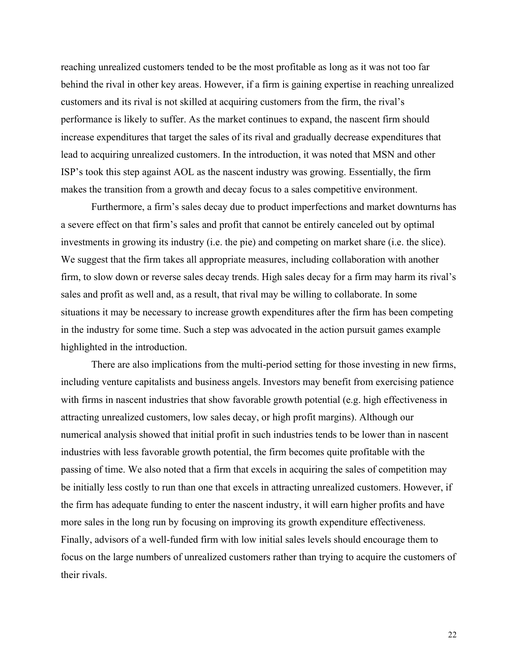reaching unrealized customers tended to be the most profitable as long as it was not too far behind the rival in other key areas. However, if a firm is gaining expertise in reaching unrealized customers and its rival is not skilled at acquiring customers from the firm, the rival's performance is likely to suffer. As the market continues to expand, the nascent firm should increase expenditures that target the sales of its rival and gradually decrease expenditures that lead to acquiring unrealized customers. In the introduction, it was noted that MSN and other ISP's took this step against AOL as the nascent industry was growing. Essentially, the firm makes the transition from a growth and decay focus to a sales competitive environment.

Furthermore, a firm's sales decay due to product imperfections and market downturns has a severe effect on that firm's sales and profit that cannot be entirely canceled out by optimal investments in growing its industry (i.e. the pie) and competing on market share (i.e. the slice). We suggest that the firm takes all appropriate measures, including collaboration with another firm, to slow down or reverse sales decay trends. High sales decay for a firm may harm its rival's sales and profit as well and, as a result, that rival may be willing to collaborate. In some situations it may be necessary to increase growth expenditures after the firm has been competing in the industry for some time. Such a step was advocated in the action pursuit games example highlighted in the introduction.

There are also implications from the multi-period setting for those investing in new firms, including venture capitalists and business angels. Investors may benefit from exercising patience with firms in nascent industries that show favorable growth potential (e.g. high effectiveness in attracting unrealized customers, low sales decay, or high profit margins). Although our numerical analysis showed that initial profit in such industries tends to be lower than in nascent industries with less favorable growth potential, the firm becomes quite profitable with the passing of time. We also noted that a firm that excels in acquiring the sales of competition may be initially less costly to run than one that excels in attracting unrealized customers. However, if the firm has adequate funding to enter the nascent industry, it will earn higher profits and have more sales in the long run by focusing on improving its growth expenditure effectiveness. Finally, advisors of a well-funded firm with low initial sales levels should encourage them to focus on the large numbers of unrealized customers rather than trying to acquire the customers of their rivals.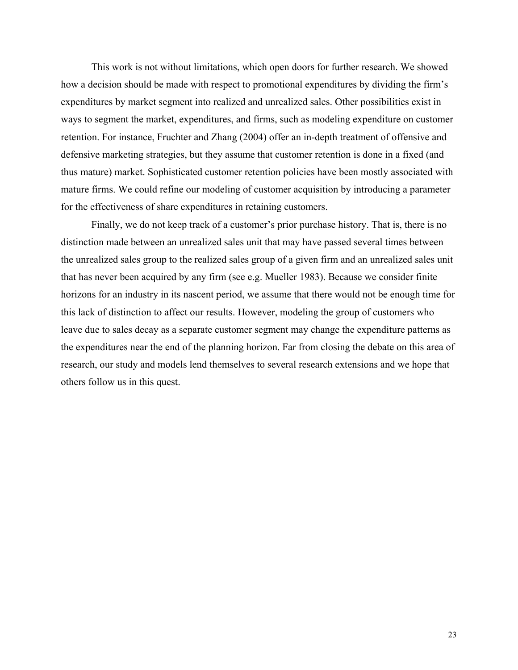This work is not without limitations, which open doors for further research. We showed how a decision should be made with respect to promotional expenditures by dividing the firm's expenditures by market segment into realized and unrealized sales. Other possibilities exist in ways to segment the market, expenditures, and firms, such as modeling expenditure on customer retention. For instance, Fruchter and Zhang (2004) offer an in-depth treatment of offensive and defensive marketing strategies, but they assume that customer retention is done in a fixed (and thus mature) market. Sophisticated customer retention policies have been mostly associated with mature firms. We could refine our modeling of customer acquisition by introducing a parameter for the effectiveness of share expenditures in retaining customers.

 Finally, we do not keep track of a customer's prior purchase history. That is, there is no distinction made between an unrealized sales unit that may have passed several times between the unrealized sales group to the realized sales group of a given firm and an unrealized sales unit that has never been acquired by any firm (see e.g. Mueller 1983). Because we consider finite horizons for an industry in its nascent period, we assume that there would not be enough time for this lack of distinction to affect our results. However, modeling the group of customers who leave due to sales decay as a separate customer segment may change the expenditure patterns as the expenditures near the end of the planning horizon. Far from closing the debate on this area of research, our study and models lend themselves to several research extensions and we hope that others follow us in this quest.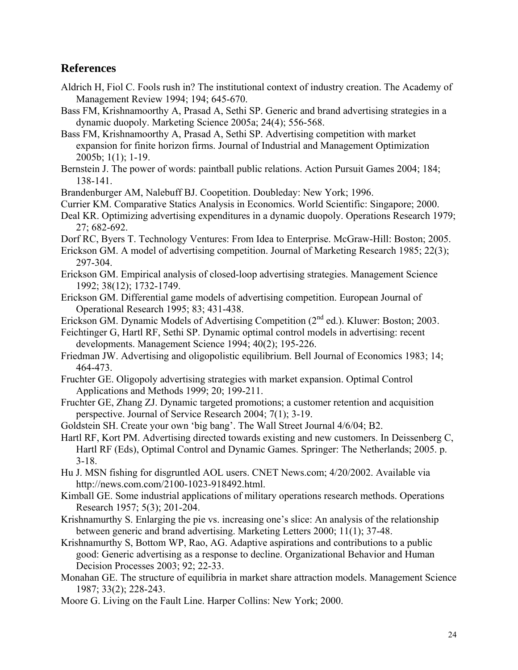## **References**

- Aldrich H, Fiol C. Fools rush in? The institutional context of industry creation. The Academy of Management Review 1994; 194; 645-670.
- Bass FM, Krishnamoorthy A, Prasad A, Sethi SP. Generic and brand advertising strategies in a dynamic duopoly. Marketing Science 2005a; 24(4); 556-568.
- Bass FM, Krishnamoorthy A, Prasad A, Sethi SP. Advertising competition with market expansion for finite horizon firms. Journal of Industrial and Management Optimization 2005b; 1(1); 1-19.
- Bernstein J. The power of words: paintball public relations. Action Pursuit Games 2004; 184; 138-141.
- Brandenburger AM, Nalebuff BJ. Coopetition. Doubleday: New York; 1996.
- Currier KM. Comparative Statics Analysis in Economics. World Scientific: Singapore; 2000.
- Deal KR. Optimizing advertising expenditures in a dynamic duopoly. Operations Research 1979; 27; 682-692.
- Dorf RC, Byers T. Technology Ventures: From Idea to Enterprise. McGraw-Hill: Boston; 2005.
- Erickson GM. A model of advertising competition. Journal of Marketing Research 1985; 22(3); 297-304.
- Erickson GM. Empirical analysis of closed-loop advertising strategies. Management Science 1992; 38(12); 1732-1749.
- Erickson GM. Differential game models of advertising competition. European Journal of Operational Research 1995; 83; 431-438.
- Erickson GM. Dynamic Models of Advertising Competition  $(2^{nd}$  ed.). Kluwer: Boston; 2003.

Feichtinger G, Hartl RF, Sethi SP. Dynamic optimal control models in advertising: recent developments. Management Science 1994; 40(2); 195-226.

- Friedman JW. Advertising and oligopolistic equilibrium. Bell Journal of Economics 1983; 14; 464-473.
- Fruchter GE. Oligopoly advertising strategies with market expansion. Optimal Control Applications and Methods 1999; 20; 199-211.
- Fruchter GE, Zhang ZJ. Dynamic targeted promotions; a customer retention and acquisition perspective. Journal of Service Research 2004; 7(1); 3-19.
- Goldstein SH. Create your own 'big bang'. The Wall Street Journal 4/6/04; B2.
- Hartl RF, Kort PM. Advertising directed towards existing and new customers. In Deissenberg C, Hartl RF (Eds), Optimal Control and Dynamic Games. Springer: The Netherlands; 2005. p. 3-18.
- Hu J. MSN fishing for disgruntled AOL users. CNET News.com; 4/20/2002. Available via http://news.com.com/2100-1023-918492.html.
- Kimball GE. Some industrial applications of military operations research methods. Operations Research 1957; 5(3); 201-204.
- Krishnamurthy S. Enlarging the pie vs. increasing one's slice: An analysis of the relationship between generic and brand advertising. Marketing Letters 2000; 11(1); 37-48.
- Krishnamurthy S, Bottom WP, Rao, AG. Adaptive aspirations and contributions to a public good: Generic advertising as a response to decline. Organizational Behavior and Human Decision Processes 2003; 92; 22-33.
- Monahan GE. The structure of equilibria in market share attraction models. Management Science 1987; 33(2); 228-243.
- Moore G. Living on the Fault Line. Harper Collins: New York; 2000.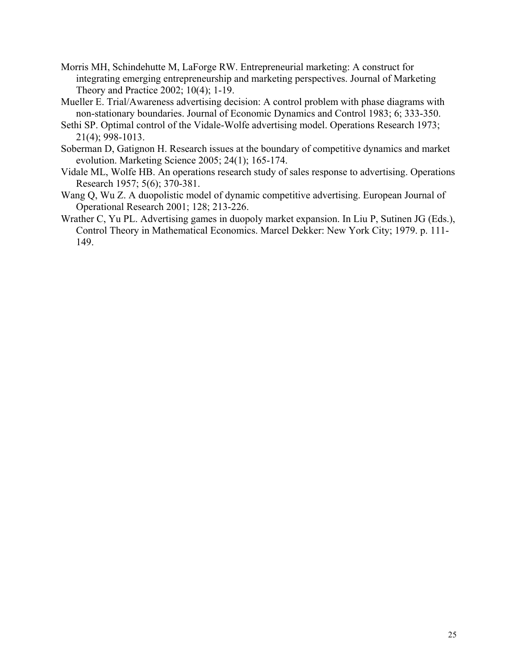- Morris MH, Schindehutte M, LaForge RW. Entrepreneurial marketing: A construct for integrating emerging entrepreneurship and marketing perspectives. Journal of Marketing Theory and Practice 2002; 10(4); 1-19.
- Mueller E. Trial/Awareness advertising decision: A control problem with phase diagrams with non-stationary boundaries. Journal of Economic Dynamics and Control 1983; 6; 333-350.
- Sethi SP. Optimal control of the Vidale-Wolfe advertising model. Operations Research 1973; 21(4); 998-1013.
- Soberman D, Gatignon H. Research issues at the boundary of competitive dynamics and market evolution. Marketing Science 2005; 24(1); 165-174.
- Vidale ML, Wolfe HB. An operations research study of sales response to advertising. Operations Research 1957; 5(6); 370-381.
- Wang Q, Wu Z. A duopolistic model of dynamic competitive advertising. European Journal of Operational Research 2001; 128; 213-226.
- Wrather C, Yu PL. Advertising games in duopoly market expansion. In Liu P, Sutinen JG (Eds.), Control Theory in Mathematical Economics. Marcel Dekker: New York City; 1979. p. 111- 149.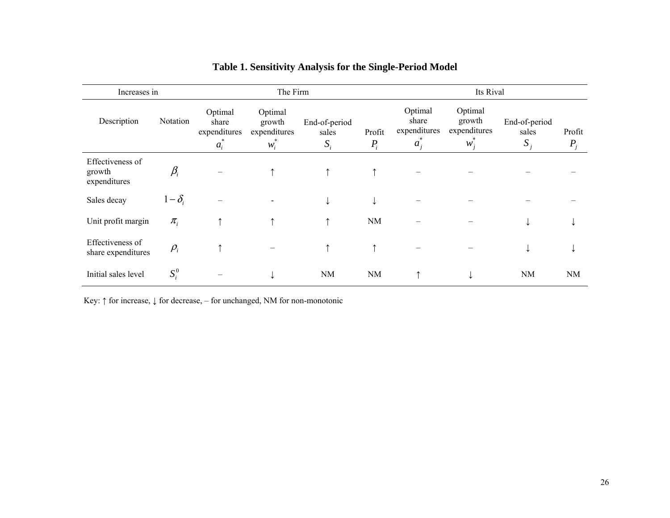| Increases in                               |              |                                           | The Firm                                   |                                                    | Its Rival |                                           |                                            |                                 |                 |
|--------------------------------------------|--------------|-------------------------------------------|--------------------------------------------|----------------------------------------------------|-----------|-------------------------------------------|--------------------------------------------|---------------------------------|-----------------|
| Description                                | Notation     | Optimal<br>share<br>expenditures<br>$a_i$ | Optimal<br>growth<br>expenditures<br>$W_i$ | End-of-period<br>Profit<br>sales<br>$S_i$<br>$P_i$ |           | Optimal<br>share<br>expenditures<br>$a_i$ | Optimal<br>growth<br>expenditures<br>$W_i$ | End-of-period<br>sales<br>$S_i$ | Profit<br>$P_i$ |
| Effectiveness of<br>growth<br>expenditures | $\beta_i$    |                                           | ↑                                          | $\uparrow$                                         |           |                                           |                                            |                                 |                 |
| Sales decay                                | $1-\delta_i$ |                                           |                                            | ↓                                                  | ↓         |                                           |                                            |                                 |                 |
| Unit profit margin                         | $\pi_{i}$    | ᠰ                                         | ↑                                          | $\uparrow$                                         | <b>NM</b> |                                           |                                            |                                 |                 |
| Effectiveness of<br>share expenditures     | $\rho_i$     |                                           |                                            | ↑                                                  |           |                                           |                                            |                                 |                 |
| Initial sales level                        | $S_i^0$      |                                           |                                            | NM                                                 | NM        |                                           | ↓                                          | <b>NM</b>                       | NM              |

# **Table 1. Sensitivity Analysis for the Single-Period Model**

Key: ↑ for increase, ↓ for decrease, – for unchanged, NM for non-monotonic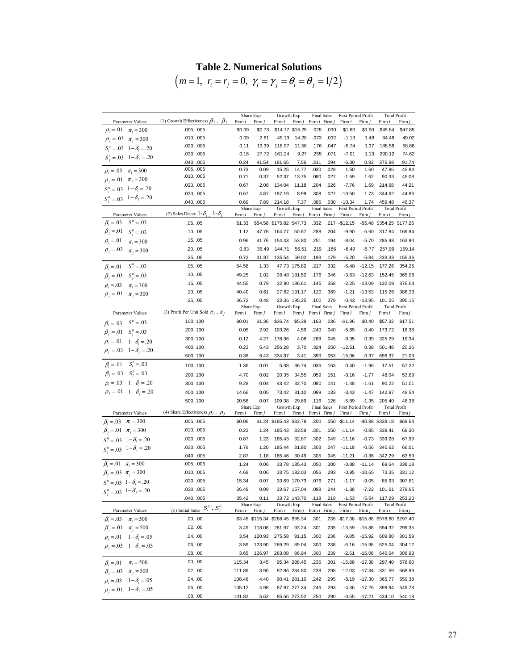## **Table 2. Numerical Solutions**

 $(m = 1, r_i = r_j = 0, \gamma_i = \gamma_j = \theta_i = \theta_j = 1/2)$ 

|                                           |                                                | Share Exp |                   | Growth Exp                       |                 | <b>Final Sales</b>          |                    | First Period Profit             |          | <b>Total Profit</b>                 |          |
|-------------------------------------------|------------------------------------------------|-----------|-------------------|----------------------------------|-----------------|-----------------------------|--------------------|---------------------------------|----------|-------------------------------------|----------|
| Parameter Values                          | (1) Growth Effectiveness $\beta_i$ , $\beta_j$ | Firm i    | Firm j            | Firm i                           | Firm j          | Firm <i>i</i> Firm          |                    | Firm i                          | Firm     | Firm i                              | Firm j   |
| $\rho_i = 0.01$ $\pi_i = 300$             | .005, .005                                     | \$0.09    | \$0.73            |                                  | \$14.77 \$15.25 | .028                        | .030               | \$1.60                          | \$1.50   | \$45.84                             | \$47.85  |
| $\rho_j = 0.03$ $\pi_i = 300$             | .010, .005                                     | 0.09      | 2.81              | 49.13                            | 14.20           | .073                        | .032               | $-1.13$                         | 1.48     | 84.48                               | 49.02    |
| $S_i^0 = .03 \quad 1 - \delta_i = .20$    | .020, .005                                     | 0.11      | 13.39             | 118.97                           | 11.56           | .176                        | .047               | $-5.74$                         | 1.37     | 188.58                              | 58.68    |
| $S_i^0 = .03 \quad 1 - \delta_j = .20$    | .030, .005                                     | 0.16      | 27.72             | 161.24                           | 9.27            | .255                        | .071               | $-7.01$                         | 1.13     | 290.12                              | 74.62    |
|                                           | .040, .005                                     | 0.24      | 41.54             | 181.65                           | 7.56            | .311                        | .094               | $-6.00$                         | 0.82     | 376.98                              | 91.74    |
| $\rho_i = .03 \quad \pi_i = 300$          | .005, .005                                     | 0.73      | 0.09              | 15.25                            | 14.77           | .030                        | .028               | 1.50                            | 1.60     | 47.85                               | 45.84    |
| $\rho_i = 0.01$ $\pi_i = 300$             | .010, .005                                     | 0.71      | 0.37              | 52.37                            | 13.75           | .080                        | .027               | $-1.59$                         | 1.62     | 90.33                               | 45.08    |
| $S_i^0 = .03 \quad 1 - \delta_i = .20$    | .020, .005                                     | 0.67      | 2.08              | 134.04                           | 11.18           | .204                        | .026               | $-7.76$                         | 1.69     | 214.68                              | 44.21    |
| $S_j^0 = .03 \quad 1 - \delta_j = .20$    | .030, .005                                     | 0.67      | 4.87              | 187.19                           | 8.99            | .308                        | .027               | $-10.50$                        | 1.73     | 344.62                              | 44.86    |
|                                           | .040, .005                                     | 0.69      | 7.89<br>Share Exp | 214.18<br>Growth Exp             | 7.37            | .385<br><b>Final Sales</b>  | .030               | $-10.34$<br>First Period Profit | 1.74     | 459.48<br><b>Total Profit</b>       | 46.37    |
| Parameter Values                          | (2) Sales Decay 1- $\delta_i$ , 1- $\delta_j$  | Firm i    | Firm j            | Firm i                           | Firm j          | Firm <i>i</i> Firm <i>j</i> |                    | Firm i                          | Firm j   | Firm i                              | Firm j   |
| $S_i^0 = .03$<br>$\beta_i = .03$          | .05, .05                                       | \$1.33    | \$54.58           | \$175.82 \$47.73                 |                 | .332                        |                    | .217 - \$12.15                  | -\$5.48  | \$354.25                            | \$177.26 |
| $\beta_i = 01$<br>$S_i^0 = .03$           | .10, .05                                       | 1.12      | 47.76             | 164.77                           | 50.87           | .288                        | .204               | $-9.90$                         | $-5.60$  | 317.84                              | 169.84   |
| $\rho_i = .01$<br>$\pi_i = 300$           | .15, .05                                       | 0.96      | 41.76             | 154.43                           | 53.80           | .251                        | .194               | $-8.04$                         | $-5.70$  | 285.98                              | 163.90   |
| $\rho_i = .03$<br>$\pi_i = 300$           | .20, .05                                       | 0.83      | 36.49             | 144.71                           | 56.51           | .219                        | .186               | $-6.49$                         | $-5.77$  | 257.99                              | 159.14   |
|                                           | .25, .05                                       | 0.72      | 31.87             | 135.54                           | 59.02           | .193                        | .179               | $-5.20$                         | $-5.84$  | 233.33                              | 155.36   |
| $S_i^0 = .03$<br>$\beta_i = .01$          | .05, .05                                       | 54.58     | 1.33              |                                  | 47.73 175.82    | .217                        | .332               | $-5.48$                         | $-12.15$ | 177.26                              | 354.25   |
| $\beta_i = .03$ $S_i^0 = .03$             | .10, .05                                       | 49.25     | 1.02              |                                  | 39.48 181.52    | .176                        | .346               | $-3.63$                         | $-12.63$ | 152.45                              | 365.98   |
|                                           | .15, .05                                       | 44.55     | 0.79              |                                  | 32.90 186.61    | .145                        | .358               | $-2.25$                         | $-13.09$ | 132.09                              | 376.64   |
| $\rho_i = .03$<br>$\pi_{i} = 300$         | .20, .05                                       | 40.40     | 0.61              |                                  | 27.62 191.17    | .120                        | .369               | $-1.21$                         | $-13.53$ | 115.26                              | 386.33   |
| $\rho_i = 01 \quad \pi_i = 300$           |                                                | 36.72     | 0.48              |                                  | 23.36 195.25    | .100                        | .379               | $-0.43$                         | $-13.95$ | 101.25                              | 395.15   |
|                                           | .25, .05                                       |           | Share Exp         | Growth Exp                       |                 | <b>Final Sales</b>          |                    | First Period Profit             |          | <b>Total Profit</b>                 |          |
| Parameter Values                          | (3) Profit Per Unit Sold $\pi_i$ , $\pi_i$     | Firm i    | Firm j            | Firm i                           | Firm j          | Firm i Firm j               |                    | Firm i                          | Firm j   | Firm i                              | Firm j   |
| $S_i^0 = .03$<br>$\beta_i = .03$          | 100, 100                                       | \$0.01    | \$1.36            | \$36.74                          | \$5.38          | .163                        | .036               | $-$1.96$                        | \$0.40   | \$57.32                             | \$17.51  |
| $\beta_i = .01 \quad S_i^0 = .03$         | 200, 100                                       | 0.05      | 2.92              | 103.26                           | 4.59            | .240                        | .040               | $-5.69$                         | 0.40     | 173.72                              | 18.38    |
| $1 - \delta_i = .20$<br>$\rho_i = .01$    | 300, 100                                       | 0.12      | 4.27              | 178.36                           | 4.08            | .289                        | .045               | $-9.35$                         | 0.39     | 325.29                              | 19.34    |
|                                           | 400, 100                                       | 0.23      | 5.43              | 256.28                           | 3.70            | .324                        | .050               | $-12.51$                        | 0.38     | 501.48                              | 20.26    |
| $\rho_i = .03 \quad 1 - \delta_i = .20$   | 500, 100                                       | 0.38      | 6.43              | 334.87                           | 3.41            | .350                        | .053               | $-15.06$                        | 0.37     | 696.37                              | 21.09    |
| $S_i^0 = .03$<br>$\beta_i = .01$          | 100, 100                                       | 1.36      | 0.01              | 5.38                             | 36.74           | .036                        | .163               | 0.40                            | $-1.96$  | 17.51                               | 57.32    |
| $\beta_i = .03$ $S_i^0 = .03$             |                                                |           |                   |                                  |                 |                             |                    |                                 |          |                                     |          |
| $\rho_i = 0.03 \quad 1 - \delta_i = 0.20$ | 200, 100                                       | 4.70      | 0.02              | 20.35                            | 34.55           | .059                        | .151               | $-0.16$                         | $-1.77$  | 48.04                               | 53.89    |
|                                           | 300, 100                                       | 9.28      | 0.04              | 43.42                            | 32.70           | .080                        | .141               | $-1.48$                         | $-1.61$  | 90.22                               | 51.01    |
| $\rho_i = .01 \quad 1 - \delta_i = .20$   | 400, 100                                       | 14.66     | 0.05              | 73.42                            | 31.10           | .099                        | .133               | $-3.43$                         | $-1.47$  | 142.97                              | 48.54    |
|                                           | 500, 100                                       | 20.56     | 0.07<br>Share Exp | 109.38<br>Growth Exp             | 29.69           | .116<br><b>Final Sales</b>  | .126               | $-5.89$<br>First Period Profit  | $-1.35$  | 205.40<br><b>Total Profit</b>       | 46.38    |
| Parameter Values                          | (4) Share Effectiveness $\rho_i$ , $\rho_j$    | Firm i    | Firm j            | Firm i                           | Firm j          | Firm <i>i</i> Firm          |                    | Firm i                          | Firm j   | Firm i                              | Firm j   |
| $\beta_i = .03$ $\pi_i = 300$             | .005, .005                                     | \$0.06    |                   | \$1.24 \$185.43 \$33.78          |                 | .300                        | .050               | $-$11.14$                       |          | -\$0.88 \$338.18                    | \$69.64  |
| $\beta_i = 01 \quad \pi_i = 300$          | .010, .005                                     | 0.23      | 1.24              | 185.43                           | 33.59           | .301                        | .050               | $-11.14$                        | $-0.85$  | 338.41                              | 69.30    |
| $S_i^0 = .03 \quad 1 - \delta_i = .20$    | .020, .005                                     | 0.87      | 1.23              | 185.43                           | 32.87           | .302                        | .049               | $-11.16$                        | $-0.73$  | 339.28                              | 67.99    |
| $S_i^0 = .03 \quad 1 - \delta_j = .20$    | .030, .005                                     | 1.79      | 1.20              | 185.44                           | 31.80           | .303                        | .047               | $-11.18$                        | $-0.56$  | 340.62                              | 66.01    |
|                                           | .040, .005                                     | 2.87      | 1.18              | 185.46                           | 30.49           | .305                        | .045               | $-11.21$                        | $-0.36$  | 342.29                              | 63.59    |
| $\beta_i = 01 \quad \pi_i = 300$          | .005, .005                                     | 1.24      | 0.06              |                                  | 33.78 185.43    | .050                        | .300               | $-0.88$                         | $-11.14$ | 69.64                               | 338.18   |
| $\beta_i = .03 \ \pi_i = 300$             | .010, .005                                     | 4.69      | 0.06              |                                  | 33.75 182.03    | .056                        | .293               | $-0.95$                         | $-10.65$ | 73.35                               | 331.12   |
| $S_i^0 = .03 \quad 1 - \delta_i = .20$    | .020, .005                                     | 15.34     | 0.07              |                                  | 33.69 170.73    | .076                        | .271               | $-1.17$                         | $-9.05$  | 85.93                               | 307.81   |
|                                           | .030, .005                                     | 26.48     | 0.09              |                                  | 33.67 157.04    | .098                        | .244               | $-1.38$                         | $-7.22$  | 101.61                              | 279.95   |
| $S_j^0 = .03 \quad 1 - \delta_j = .20$    | .040, .005                                     | 35.42     | 0.11              |                                  | 33.72 143.70    | .118                        | .219               | $-1.53$                         | $-5.54$  | 117.29                              | 253.20   |
|                                           |                                                |           | Share Exp         | Growth Exp                       |                 |                             | <b>Final Sales</b> | First Period Profit             |          | <b>Total Profit</b>                 |          |
| Parameter Values                          | (5) Initial Sales $S_i^0$ , $S_j^0$            | Firm i    | Firm $j$          | Firm i                           | Firm $j$        | Firm <i>i</i> Firm <i>j</i> |                    | Firm i                          | Firm j   | Firm i                              | Firm $j$ |
| $\beta_i = .03$ $\pi_i = 500$             | .00, .00                                       |           |                   | \$3.45 \$115.34 \$288.45 \$95.34 |                 | .301                        | .235               |                                 |          | -\$17.38 -\$15.88 \$578.60 \$297.40 |          |
| $\beta_i = 01 \quad \pi_i = 500$          | .02, .00                                       | 3.49      | 118.08            | 281.97                           | 93.24           | .301                        | .235               | $-13.59$                        | $-15.88$ | 594.32                              | 299.35   |
| $\rho_i = .01 \quad 1 - \delta_i = .05$   | .04, .00                                       | 3.54      | 120.93            | 275.58                           | 91.15           | .300                        | .236               | $-9.85$                         | $-15.92$ | 609.80                              | 301.59   |
| $\rho_i = .03 \quad 1 - \delta_i = .05$   | .06, .00                                       | 3.59      | 123.90            | 269.29                           | 89.04           | .300                        | .238               | $-6.16$                         | $-15.98$ | 625.04                              | 304.12   |
|                                           | .08, .00                                       | 3.65      | 126.97            | 263.08                           | 86.94           | .300                        | <u>.239</u>        | $-2.51$                         | $-16.06$ | 640.04                              | 306.93   |
| $\beta_i = .01 \quad \pi_i = 500$         | .00, .00                                       | 115.34    | 3.45              |                                  | 95.34 288.45    | .235                        | .301               | $-15.88$                        | $-17.38$ | 297.40                              | 578.60   |
| $\beta_i = .03 \quad \pi_i = 500$         | .02, .00                                       | 111.89    | 3.90              |                                  | 92.86 284.80    | .238                        | .298               | $-12.03$                        | $-17.34$ | 331.59                              | 568.99   |
| $\rho_i = .03 \quad 1 - \delta_i = .05$   | .04, .00                                       | 108.48    | 4.40              |                                  | 90.41 281.10    | .242                        | .295               | $-8.19$                         | $-17.30$ | 365.77                              | 559.38   |
| $\rho_i = 0.01 - 1 - \delta_i = 0.05$     | .06, .00                                       | 105.12    | 4.98              |                                  | 87.97 277.34    | .246                        | .293               | $-4.36$                         | $-17.26$ | 399.94                              | 549.78   |
|                                           | .08, .00                                       | 101.82    | 5.62              |                                  | 85.56 273.52    | .250                        | .290               | $-0.55$                         | $-17.21$ | 434.10                              | 540.18   |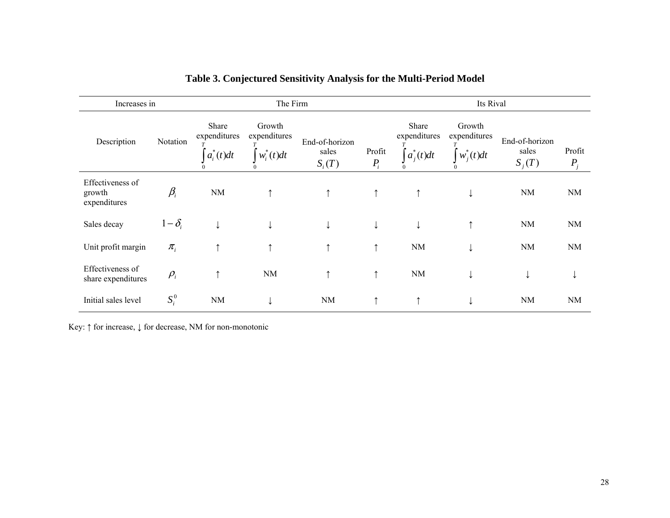| Increases in                               |              |                                       | The Firm                               |                                     | Its Rival    |                                        |                                                     |                                     |                   |
|--------------------------------------------|--------------|---------------------------------------|----------------------------------------|-------------------------------------|--------------|----------------------------------------|-----------------------------------------------------|-------------------------------------|-------------------|
| Description                                | Notation     | Share<br>expenditures<br>$a_i^*(t)dt$ | Growth<br>expenditures<br>$w_i^*(t)dt$ | End-of-horizon<br>sales<br>$S_i(T)$ |              | Share<br>expenditures<br>$ a_i^*(t)dt$ | Growth<br>expenditures<br>$\big  w_i^*(t) dt \big $ | End-of-horizon<br>sales<br>$S_i(T)$ | Profit<br>$P_{i}$ |
| Effectiveness of<br>growth<br>expenditures | $\beta_i$    | NM                                    |                                        | $\uparrow$                          | $\uparrow$   | ↑                                      | ₩                                                   | <b>NM</b>                           | <b>NM</b>         |
| Sales decay                                | $1-\delta_i$ |                                       |                                        | ↓                                   | $\downarrow$ | ↓                                      |                                                     | <b>NM</b>                           | <b>NM</b>         |
| Unit profit margin                         | $\pi_{i}$    | ↑                                     |                                        | ᠰ                                   | ↑            | <b>NM</b>                              |                                                     | NM                                  | <b>NM</b>         |
| Effectiveness of<br>share expenditures     | $\rho_i$     | $\uparrow$                            | <b>NM</b>                              | ↑                                   | $\uparrow$   | <b>NM</b>                              |                                                     | ↓                                   |                   |
| Initial sales level                        | $S_i^0$      | NM                                    |                                        | <b>NM</b>                           | $\uparrow$   | ᠰ                                      |                                                     | <b>NM</b>                           | <b>NM</b>         |

## **Table 3. Conjectured Sensitivity Analysis for the Multi-Period Model**

Key: ↑ for increase, ↓ for decrease, NM for non-monotonic